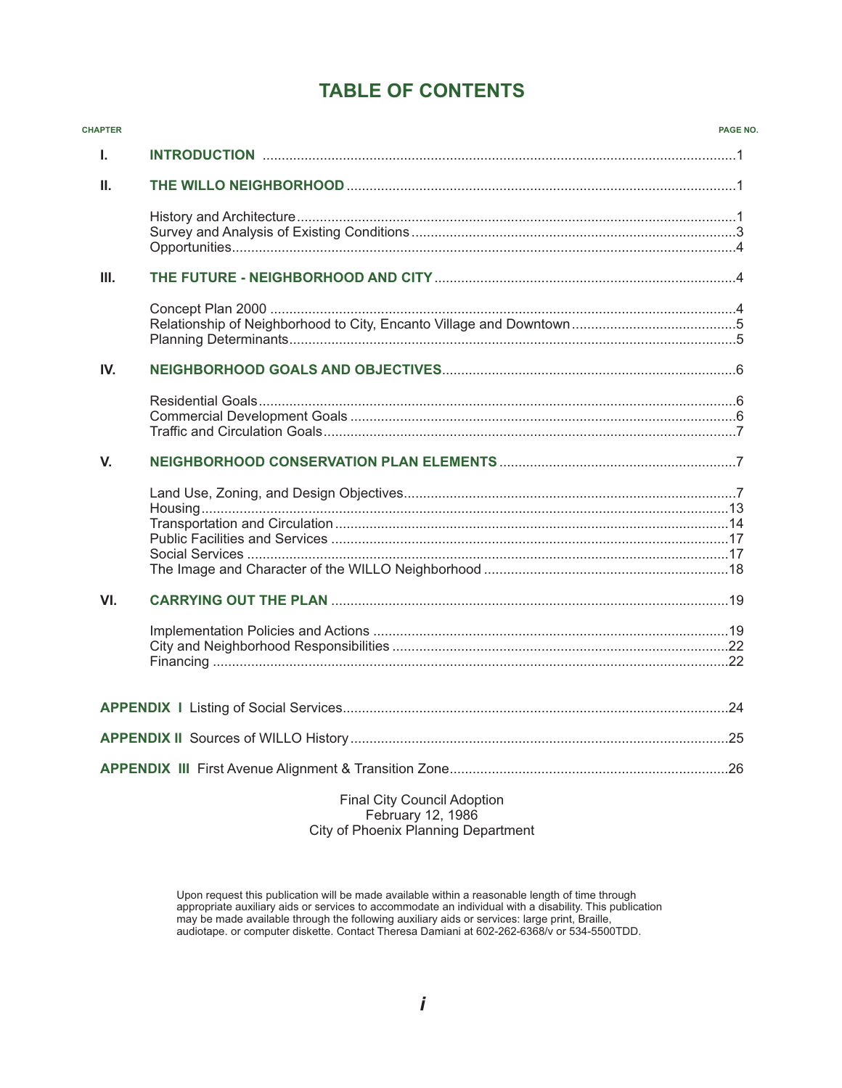# **TABLE OF CONTENTS**

| <b>CHAPTER</b> |                             | PAGE NO. |
|----------------|-----------------------------|----------|
| L.             |                             |          |
| II.            |                             |          |
|                |                             |          |
| III.           |                             |          |
|                |                             |          |
| IV.            |                             |          |
|                |                             |          |
| V.             |                             |          |
|                |                             |          |
| VI.            |                             |          |
|                |                             |          |
|                |                             |          |
|                |                             |          |
|                |                             |          |
|                | Final City Council Adoption |          |

Final City Council Adoption February 12, 1986 City of Phoenix Planning Department

Upon request this publication will be made available within a reasonable length of time through appropriate auxiliary aids or services to accommodate an individual with a disability. This publication may be made available through the following auxiliary aids or services: large print, Braille, audiotape. or computer diskette. Contact Theresa Damiani at 602-262-6368/v or 534-5500TDD.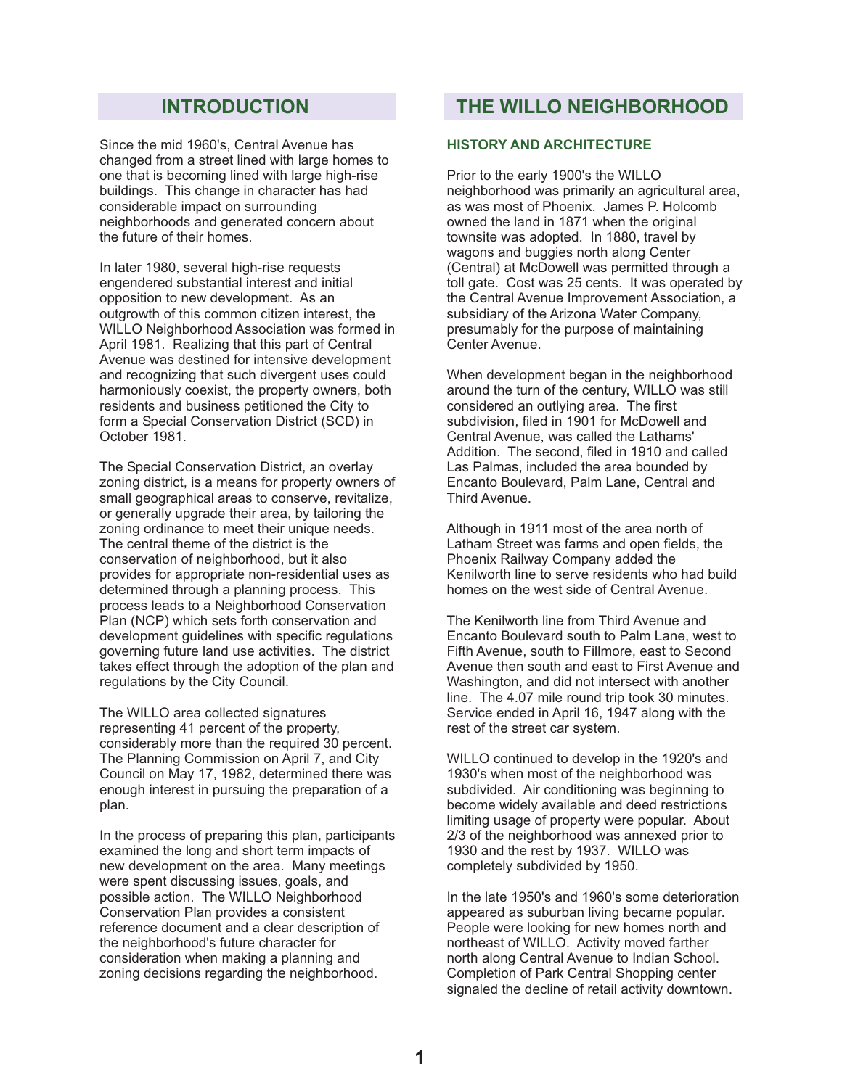## **INTRODUCTION**

Since the mid 1960's, Central Avenue has changed from a street lined with large homes to one that is becoming lined with large high-rise buildings. This change in character has had considerable impact on surrounding neighborhoods and generated concern about the future of their homes.

In later 1980, several high-rise requests engendered substantial interest and initial opposition to new development. As an outgrowth of this common citizen interest, the WILLO Neighborhood Association was formed in April 1981. Realizing that this part of Central Avenue was destined for intensive development and recognizing that such divergent uses could harmoniously coexist, the property owners, both residents and business petitioned the City to form a Special Conservation District (SCD) in October 1981.

The Special Conservation District, an overlay zoning district, is a means for property owners of small geographical areas to conserve, revitalize, or generally upgrade their area, by tailoring the zoning ordinance to meet their unique needs. The central theme of the district is the conservation of neighborhood, but it also provides for appropriate non-residential uses as determined through a planning process. This process leads to a Neighborhood Conservation Plan (NCP) which sets forth conservation and development guidelines with specific regulations governing future land use activities. The district takes effect through the adoption of the plan and regulations by the City Council.

The WILLO area collected signatures representing 41 percent of the property, considerably more than the required 30 percent. The Planning Commission on April 7, and City Council on May 17, 1982, determined there was enough interest in pursuing the preparation of a plan.

In the process of preparing this plan, participants examined the long and short term impacts of new development on the area. Many meetings were spent discussing issues, goals, and possible action. The WILLO Neighborhood Conservation Plan provides a consistent reference document and a clear description of the neighborhood's future character for consideration when making a planning and zoning decisions regarding the neighborhood.

## **THE WILLO NEIGHBORHOOD**

### **HISTORY AND ARCHITECTURE**

Prior to the early 1900's the WILLO neighborhood was primarily an agricultural area, as was most of Phoenix. James P. Holcomb owned the land in 1871 when the original townsite was adopted. In 1880, travel by wagons and buggies north along Center (Central) at McDowell was permitted through a toll gate. Cost was 25 cents. It was operated by the Central Avenue Improvement Association, a subsidiary of the Arizona Water Company, presumably for the purpose of maintaining Center Avenue.

When development began in the neighborhood around the turn of the century, WILLO was still considered an outlying area. The first subdivision, filed in 1901 for McDowell and Central Avenue, was called the Lathams' Addition. The second, filed in 1910 and called Las Palmas, included the area bounded by Encanto Boulevard, Palm Lane, Central and Third Avenue.

Although in 1911 most of the area north of Latham Street was farms and open fields, the Phoenix Railway Company added the Kenilworth line to serve residents who had build homes on the west side of Central Avenue.

The Kenilworth line from Third Avenue and Encanto Boulevard south to Palm Lane, west to Fifth Avenue, south to Fillmore, east to Second Avenue then south and east to First Avenue and Washington, and did not intersect with another line. The 4.07 mile round trip took 30 minutes. Service ended in April 16, 1947 along with the rest of the street car system.

WILLO continued to develop in the 1920's and 1930's when most of the neighborhood was subdivided. Air conditioning was beginning to become widely available and deed restrictions limiting usage of property were popular. About 2/3 of the neighborhood was annexed prior to 1930 and the rest by 1937. WILLO was completely subdivided by 1950.

In the late 1950's and 1960's some deterioration appeared as suburban living became popular. People were looking for new homes north and northeast of WILLO. Activity moved farther north along Central Avenue to Indian School. Completion of Park Central Shopping center signaled the decline of retail activity downtown.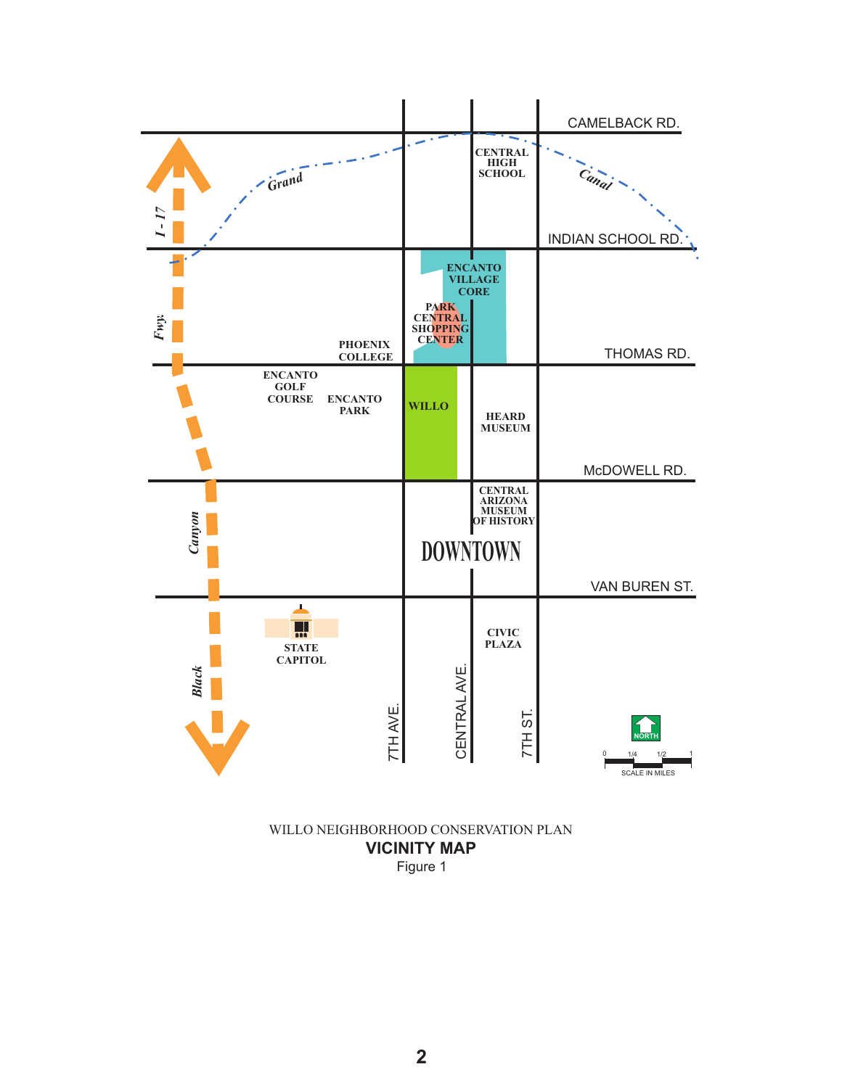

## Figure 1 **VICINITY MAP** WILLO NEIGHBORHOOD CONSERVATION PLAN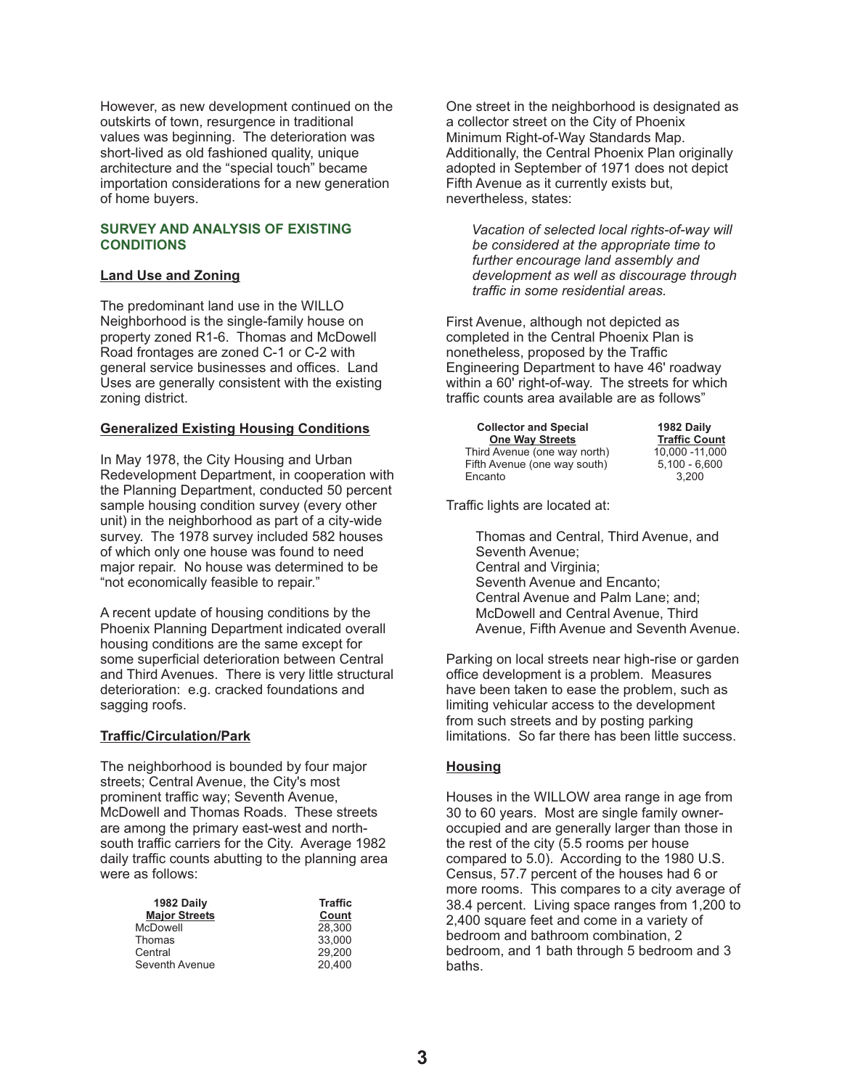However, as new development continued on the outskirts of town, resurgence in traditional values was beginning. The deterioration was short-lived as old fashioned quality, unique architecture and the "special touch" became importation considerations for a new generation of home buyers.

#### **SURVEY AND ANALYSIS OF EXISTING CONDITIONS**

## **Land Use and Zoning**

The predominant land use in the WILLO Neighborhood is the single-family house on property zoned R1-6. Thomas and McDowell Road frontages are zoned C-1 or C-2 with general service businesses and offices. Land Uses are generally consistent with the existing zoning district.

## **Generalized Existing Housing Conditions**

In May 1978, the City Housing and Urban Redevelopment Department, in cooperation with the Planning Department, conducted 50 percent sample housing condition survey (every other unit) in the neighborhood as part of a city-wide survey. The 1978 survey included 582 houses of which only one house was found to need major repair. No house was determined to be "not economically feasible to repair."

A recent update of housing conditions by the Phoenix Planning Department indicated overall housing conditions are the same except for some superficial deterioration between Central and Third Avenues. There is very little structural deterioration: e.g. cracked foundations and sagging roofs.

### **Traffic/Circulation/Park**

The neighborhood is bounded by four major streets; Central Avenue, the City's most prominent traffic way; Seventh Avenue, McDowell and Thomas Roads. These streets are among the primary east-west and northsouth traffic carriers for the City. Average 1982 daily traffic counts abutting to the planning area were as follows:

| 1982 Daily           | <b>Traffic</b> |
|----------------------|----------------|
| <b>Major Streets</b> | Count          |
| <b>McDowell</b>      | 28,300         |
| Thomas               | 33.000         |
| Central              | 29.200         |
| Seventh Avenue       | 20.400         |

One street in the neighborhood is designated as a collector street on the City of Phoenix Minimum Right-of-Way Standards Map. Additionally, the Central Phoenix Plan originally adopted in September of 1971 does not depict Fifth Avenue as it currently exists but, nevertheless, states:

*Vacation of selected local rights-of-way will be considered at the appropriate time to further encourage land assembly and development as well as discourage through traffic in some residential areas.*

First Avenue, although not depicted as completed in the Central Phoenix Plan is nonetheless, proposed by the Traffic Engineering Department to have 46' roadway within a 60' right-of-way. The streets for which traffic counts area available are as follows"

| <b>Collector and Special</b> | 1982 Daily           |
|------------------------------|----------------------|
| <b>One Way Streets</b>       | <b>Traffic Count</b> |
| Third Avenue (one way north) | 10.000 - 11.000      |
| Fifth Avenue (one way south) | $5.100 - 6.600$      |
| Encanto                      | 3.200                |

Traffic lights are located at:

Thomas and Central, Third Avenue, and Seventh Avenue; Central and Virginia; Seventh Avenue and Encanto; Central Avenue and Palm Lane; and; McDowell and Central Avenue, Third Avenue, Fifth Avenue and Seventh Avenue.

Parking on local streets near high-rise or garden office development is a problem. Measures have been taken to ease the problem, such as limiting vehicular access to the development from such streets and by posting parking limitations. So far there has been little success.

## **Housing**

Houses in the WILLOW area range in age from 30 to 60 years. Most are single family owneroccupied and are generally larger than those in the rest of the city (5.5 rooms per house compared to 5.0). According to the 1980 U.S. Census, 57.7 percent of the houses had 6 or more rooms. This compares to a city average of 38.4 percent. Living space ranges from 1,200 to 2,400 square feet and come in a variety of bedroom and bathroom combination, 2 bedroom, and 1 bath through 5 bedroom and 3 baths.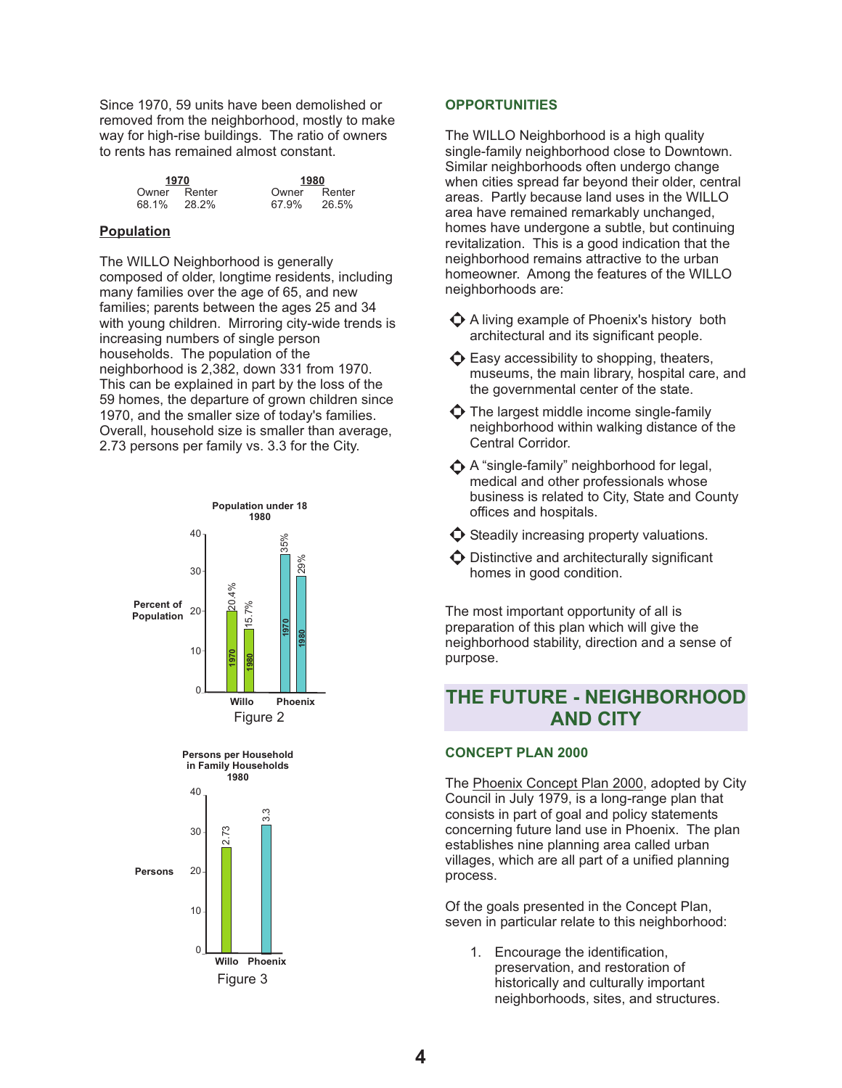Since 1970, 59 units have been demolished or removed from the neighborhood, mostly to make way for high-rise buildings. The ratio of owners to rents has remained almost constant.

| 1970  |        |
|-------|--------|
| Owner | Renter |
| 68.1% | 28.2%  |

Owner Renter<br>67.9% 26.5% 67.9% **1970 1980**

### **Population**

The WILLO Neighborhood is generally composed of older, longtime residents, including many families over the age of 65, and new families; parents between the ages 25 and 34 with young children. Mirroring city-wide trends is increasing numbers of single person households. The population of the neighborhood is 2,382, down 331 from 1970. This can be explained in part by the loss of the 59 homes, the departure of grown children since 1970, and the smaller size of today's families. Overall, household size is smaller than average, 2.73 persons per family vs. 3.3 for the City.



## **OPPORTUNITIES**

The WILLO Neighborhood is a high quality single-family neighborhood close to Downtown. Similar neighborhoods often undergo change when cities spread far beyond their older, central areas. Partly because land uses in the WILLO area have remained remarkably unchanged, homes have undergone a subtle, but continuing revitalization. This is a good indication that the neighborhood remains attractive to the urban homeowner. Among the features of the WILLO neighborhoods are:

- A living example of Phoenix's history both architectural and its significant people.
- $\bullet$  Easy accessibility to shopping, theaters, museums, the main library, hospital care, and the governmental center of the state.
- $\bullet$  The largest middle income single-family neighborhood within walking distance of the Central Corridor.
- A "single-family" neighborhood for legal, medical and other professionals whose business is related to City, State and County offices and hospitals.
- $\bullet$  Steadily increasing property valuations.
- $\bullet$  Distinctive and architecturally significant homes in good condition.

The most important opportunity of all is preparation of this plan which will give the neighborhood stability, direction and a sense of purpose.

## **THE FUTURE - NEIGHBORHOOD AND CITY**

### **CONCEPT PLAN 2000**

The **Phoenix Concept Plan 2000**, adopted by City Council in July 1979, is a long-range plan that consists in part of goal and policy statements concerning future land use in Phoenix. The plan establishes nine planning area called urban villages, which are all part of a unified planning process.

Of the goals presented in the Concept Plan, seven in particular relate to this neighborhood:

1. Encourage the identification, preservation, and restoration of historically and culturally important neighborhoods, sites, and structures.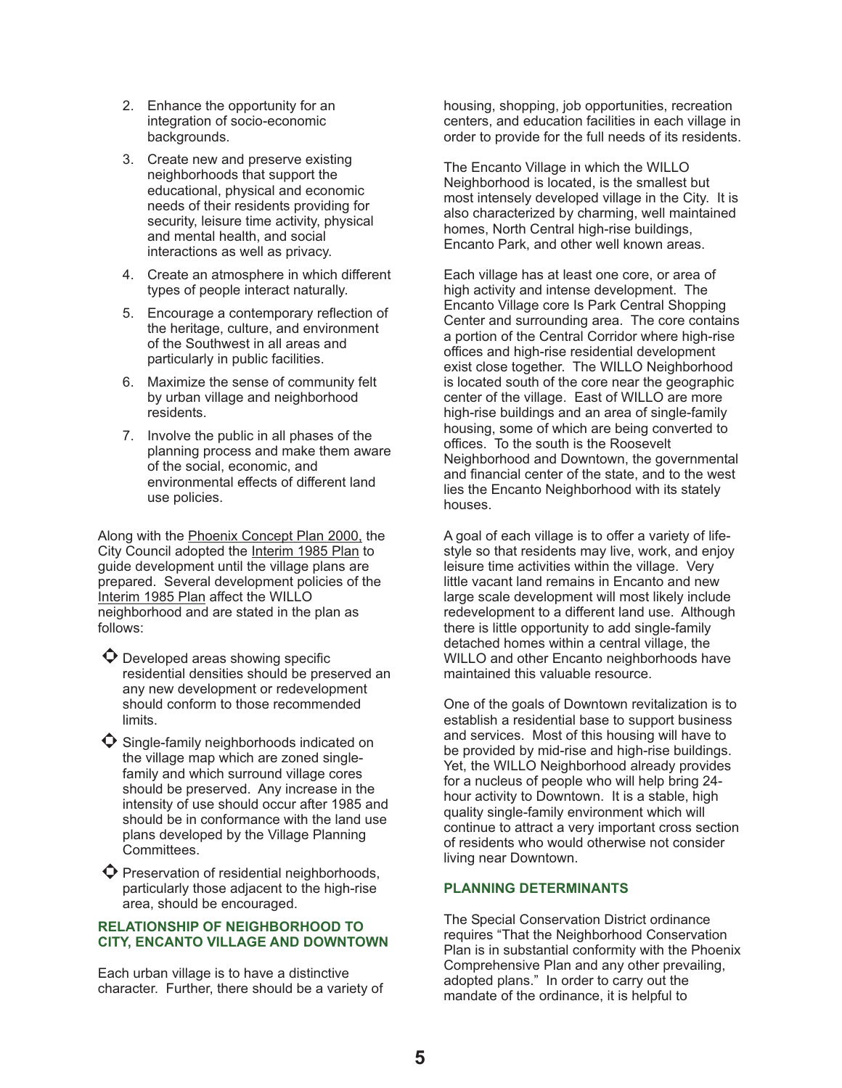- 2. Enhance the opportunity for an integration of socio-economic backgrounds.
- 3. Create new and preserve existing neighborhoods that support the educational, physical and economic needs of their residents providing for security, leisure time activity, physical and mental health, and social interactions as well as privacy.
- 4. Create an atmosphere in which different types of people interact naturally.
- 5. Encourage a contemporary reflection of the heritage, culture, and environment of the Southwest in all areas and particularly in public facilities.
- 6. Maximize the sense of community felt by urban village and neighborhood residents.
- 7. Involve the public in all phases of the planning process and make them aware of the social, economic, and environmental effects of different land use policies.

Along with the <u>Phoenix Concept Plan 2000,</u> the City Council adopted the **Interim 1985 Plan** to guide development until the village plans are prepared. Several development policies of the Interim 1985 Plan affect the WILLO neighborhood and are stated in the plan as follows:

 $\bullet$  Developed areas showing specific residential densities should be preserved an any new development or redevelopment should conform to those recommended limits.

 $\bullet$  Single-family neighborhoods indicated on the village map which are zoned singlefamily and which surround village cores should be preserved. Any increase in the intensity of use should occur after 1985 and should be in conformance with the land use plans developed by the Village Planning Committees.

 $\bullet$  Preservation of residential neighborhoods, particularly those adjacent to the high-rise area, should be encouraged.

### **RELATIONSHIP OF NEIGHBORHOOD TO CITY, ENCANTO VILLAGE AND DOWNTOWN**

Each urban village is to have a distinctive character. Further, there should be a variety of housing, shopping, job opportunities, recreation centers, and education facilities in each village in order to provide for the full needs of its residents.

The Encanto Village in which the WILLO Neighborhood is located, is the smallest but most intensely developed village in the City. It is also characterized by charming, well maintained homes, North Central high-rise buildings, Encanto Park, and other well known areas.

Each village has at least one core, or area of high activity and intense development. The Encanto Village core Is Park Central Shopping Center and surrounding area. The core contains a portion of the Central Corridor where high-rise offices and high-rise residential development exist close together. The WILLO Neighborhood is located south of the core near the geographic center of the village. East of WILLO are more high-rise buildings and an area of single-family housing, some of which are being converted to offices. To the south is the Roosevelt Neighborhood and Downtown, the governmental and financial center of the state, and to the west lies the Encanto Neighborhood with its stately houses.

A goal of each village is to offer a variety of lifestyle so that residents may live, work, and enjoy leisure time activities within the village. Very little vacant land remains in Encanto and new large scale development will most likely include redevelopment to a different land use. Although there is little opportunity to add single-family detached homes within a central village, the WILLO and other Encanto neighborhoods have maintained this valuable resource.

One of the goals of Downtown revitalization is to establish a residential base to support business and services. Most of this housing will have to be provided by mid-rise and high-rise buildings. Yet, the WILLO Neighborhood already provides for a nucleus of people who will help bring 24 hour activity to Downtown. It is a stable, high quality single-family environment which will continue to attract a very important cross section of residents who would otherwise not consider living near Downtown.

### **PLANNING DETERMINANTS**

The Special Conservation District ordinance requires "That the Neighborhood Conservation Plan is in substantial conformity with the Phoenix Comprehensive Plan and any other prevailing, adopted plans." In order to carry out the mandate of the ordinance, it is helpful to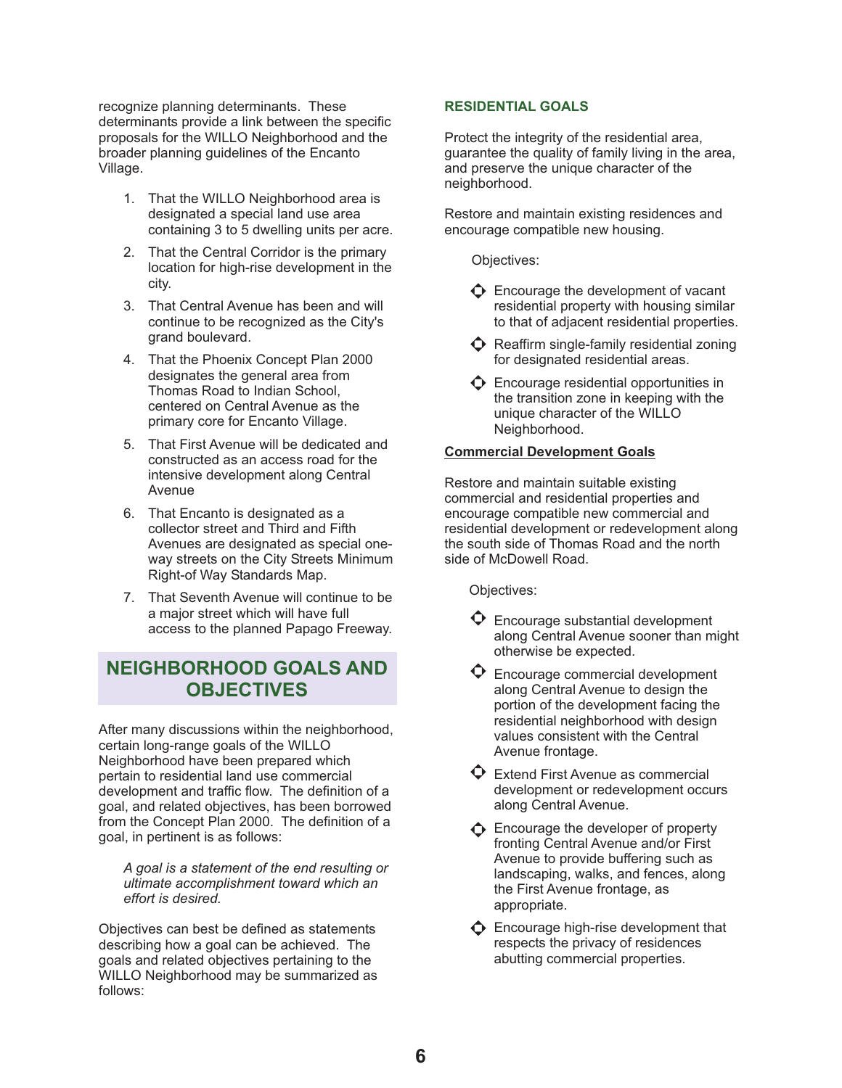recognize planning determinants. These determinants provide a link between the specific proposals for the WILLO Neighborhood and the broader planning guidelines of the Encanto Village.

- 1. That the WILLO Neighborhood area is designated a special land use area containing 3 to 5 dwelling units per acre.
- 2. That the Central Corridor is the primary location for high-rise development in the city.
- 3. That Central Avenue has been and will continue to be recognized as the City's grand boulevard.
- 4. That the Phoenix Concept Plan 2000 designates the general area from Thomas Road to Indian School, centered on Central Avenue as the primary core for Encanto Village.
- 5. That First Avenue will be dedicated and constructed as an access road for the intensive development along Central Avenue
- 6. That Encanto is designated as a collector street and Third and Fifth Avenues are designated as special oneway streets on the City Streets Minimum Right-of Way Standards Map.
- 7. That Seventh Avenue will continue to be a major street which will have full access to the planned Papago Freeway.

## **NEIGHBORHOOD GOALS AND OBJECTIVES**

After many discussions within the neighborhood, certain long-range goals of the WILLO Neighborhood have been prepared which pertain to residential land use commercial development and traffic flow. The definition of a goal, and related objectives, has been borrowed from the Concept Plan 2000. The definition of a goal, in pertinent is as follows:

*A goal is a statement of the end resulting or ultimate accomplishment toward which an effort is desired.*

Objectives can best be defined as statements describing how a goal can be achieved. The goals and related objectives pertaining to the WILLO Neighborhood may be summarized as follows:

## **RESIDENTIAL GOALS**

Protect the integrity of the residential area, guarantee the quality of family living in the area, and preserve the unique character of the neighborhood.

Restore and maintain existing residences and encourage compatible new housing.

Objectives:

- $\bullet$  Encourage the development of vacant residential property with housing similar to that of adjacent residential properties.
- $\bullet$  Reaffirm single-family residential zoning for designated residential areas.
- $\Phi$  Encourage residential opportunities in the transition zone in keeping with the unique character of the WILLO Neighborhood.

## **Commercial Development Goals**

Restore and maintain suitable existing commercial and residential properties and encourage compatible new commercial and residential development or redevelopment along the south side of Thomas Road and the north side of McDowell Road.

Objectives:

- $\mathbf \Theta$  Encourage substantial development along Central Avenue sooner than might otherwise be expected.
- $\bullet$  Encourage commercial development along Central Avenue to design the portion of the development facing the residential neighborhood with design values consistent with the Central Avenue frontage.
- $\mathbf \Theta$  Extend First Avenue as commercial development or redevelopment occurs along Central Avenue.
- $\triangle$  Encourage the developer of property fronting Central Avenue and/or First Avenue to provide buffering such as landscaping, walks, and fences, along the First Avenue frontage, as appropriate.
- $\bigodot$  Encourage high-rise development that respects the privacy of residences abutting commercial properties.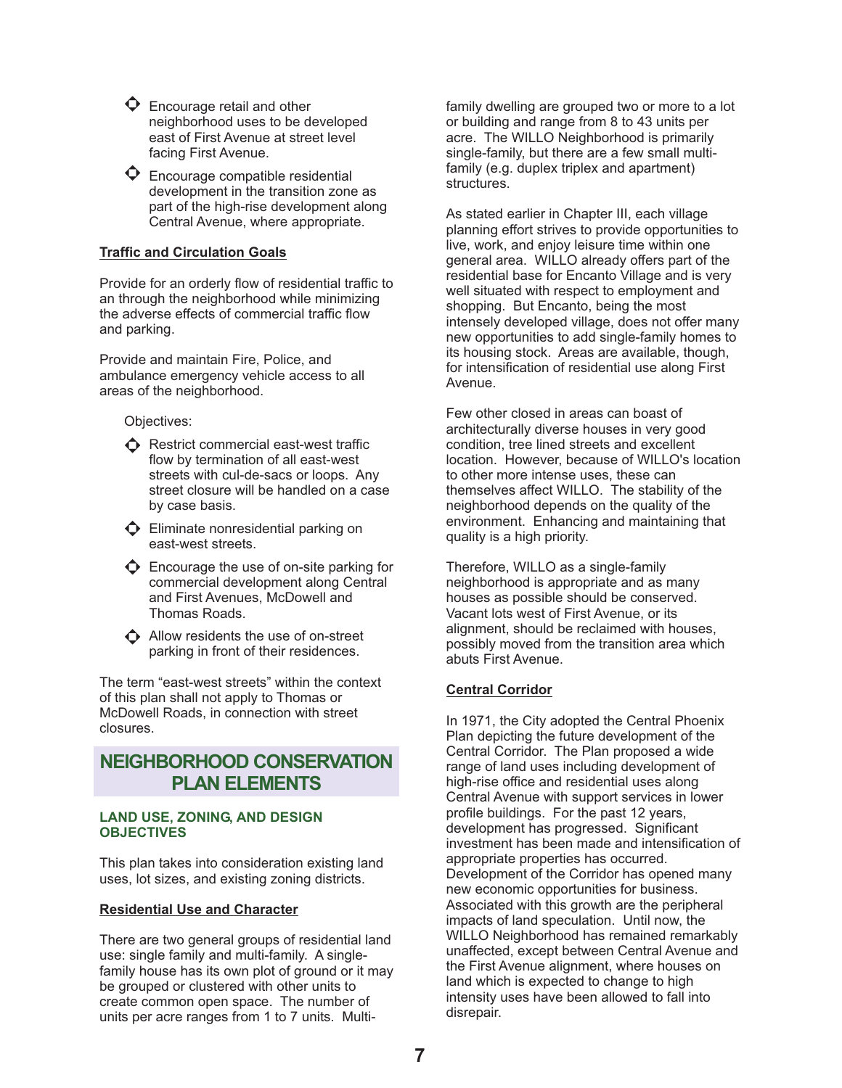$\Phi$  Encourage retail and other neighborhood uses to be developed east of First Avenue at street level facing First Avenue.

 $\bullet$  Encourage compatible residential development in the transition zone as part of the high-rise development along Central Avenue, where appropriate.

## **Traffic and Circulation Goals**

Provide for an orderly flow of residential traffic to an through the neighborhood while minimizing the adverse effects of commercial traffic flow and parking.

Provide and maintain Fire, Police, and ambulance emergency vehicle access to all areas of the neighborhood.

Objectives:

- $\bigodot$  Restrict commercial east-west traffic flow by termination of all east-west streets with cul-de-sacs or loops. Any street closure will be handled on a case by case basis.
- $\bullet$  Eliminate nonresidential parking on east-west streets.
- $\bullet$  Encourage the use of on-site parking for commercial development along Central and First Avenues, McDowell and Thomas Roads.

 $\bigodot$  Allow residents the use of on-street parking in front of their residences.

The term "east-west streets" within the context of this plan shall not apply to Thomas or McDowell Roads, in connection with street closures.

## **NEIGHBORHOOD CONSERVATION PLAN ELEMENTS**

### **LAND USE, ZONING, AND DESIGN OBJECTIVES**

This plan takes into consideration existing land uses, lot sizes, and existing zoning districts.

### **Residential Use and Character**

There are two general groups of residential land use: single family and multi-family. A singlefamily house has its own plot of ground or it may be grouped or clustered with other units to create common open space. The number of units per acre ranges from 1 to 7 units. Multifamily dwelling are grouped two or more to a lot or building and range from 8 to 43 units per acre. The WILLO Neighborhood is primarily single-family, but there are a few small multifamily (e.g. duplex triplex and apartment) structures.

As stated earlier in Chapter III, each village planning effort strives to provide opportunities to live, work, and enjoy leisure time within one general area. WILLO already offers part of the residential base for Encanto Village and is very well situated with respect to employment and shopping. But Encanto, being the most intensely developed village, does not offer many new opportunities to add single-family homes to its housing stock. Areas are available, though, for intensification of residential use along First Avenue.

Few other closed in areas can boast of architecturally diverse houses in very good condition, tree lined streets and excellent location. However, because of WILLO's location to other more intense uses, these can themselves affect WILLO. The stability of the neighborhood depends on the quality of the environment. Enhancing and maintaining that quality is a high priority.

Therefore, WILLO as a single-family neighborhood is appropriate and as many houses as possible should be conserved. Vacant lots west of First Avenue, or its alignment, should be reclaimed with houses, possibly moved from the transition area which abuts First Avenue.

## **Central Corridor**

In 1971, the City adopted the Central Phoenix Plan depicting the future development of the Central Corridor. The Plan proposed a wide range of land uses including development of high-rise office and residential uses along Central Avenue with support services in lower profile buildings. For the past 12 years, development has progressed. Significant investment has been made and intensification of appropriate properties has occurred. Development of the Corridor has opened many new economic opportunities for business. Associated with this growth are the peripheral impacts of land speculation. Until now, the WILLO Neighborhood has remained remarkably unaffected, except between Central Avenue and the First Avenue alignment, where houses on land which is expected to change to high intensity uses have been allowed to fall into disrepair.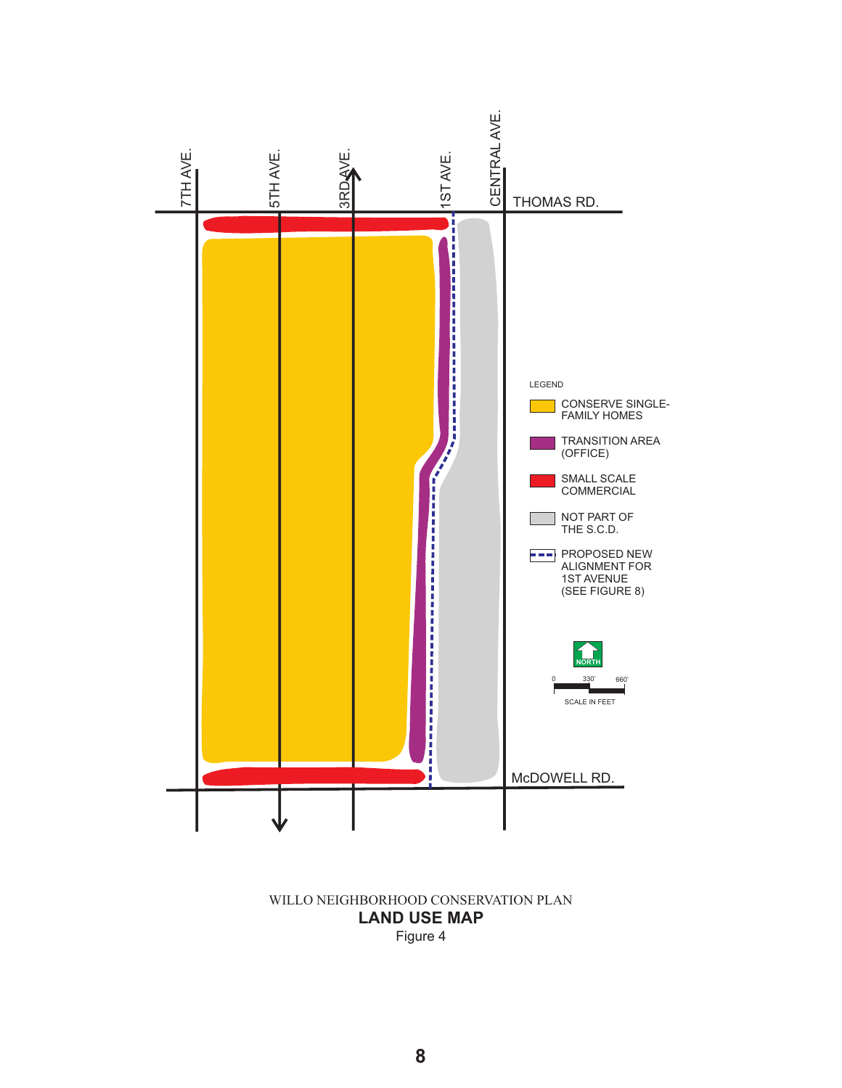

## Figure 4 **LAND USE MAP** WILLO NEIGHBORHOOD CONSERVATION PLAN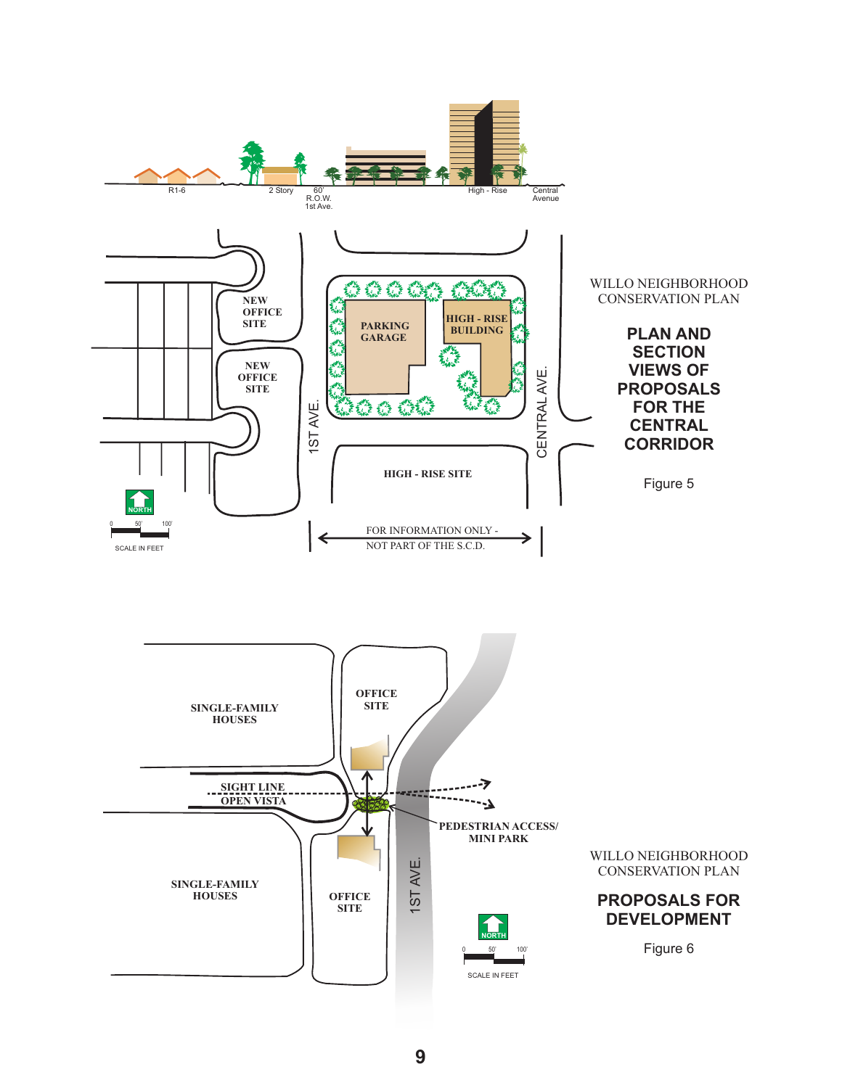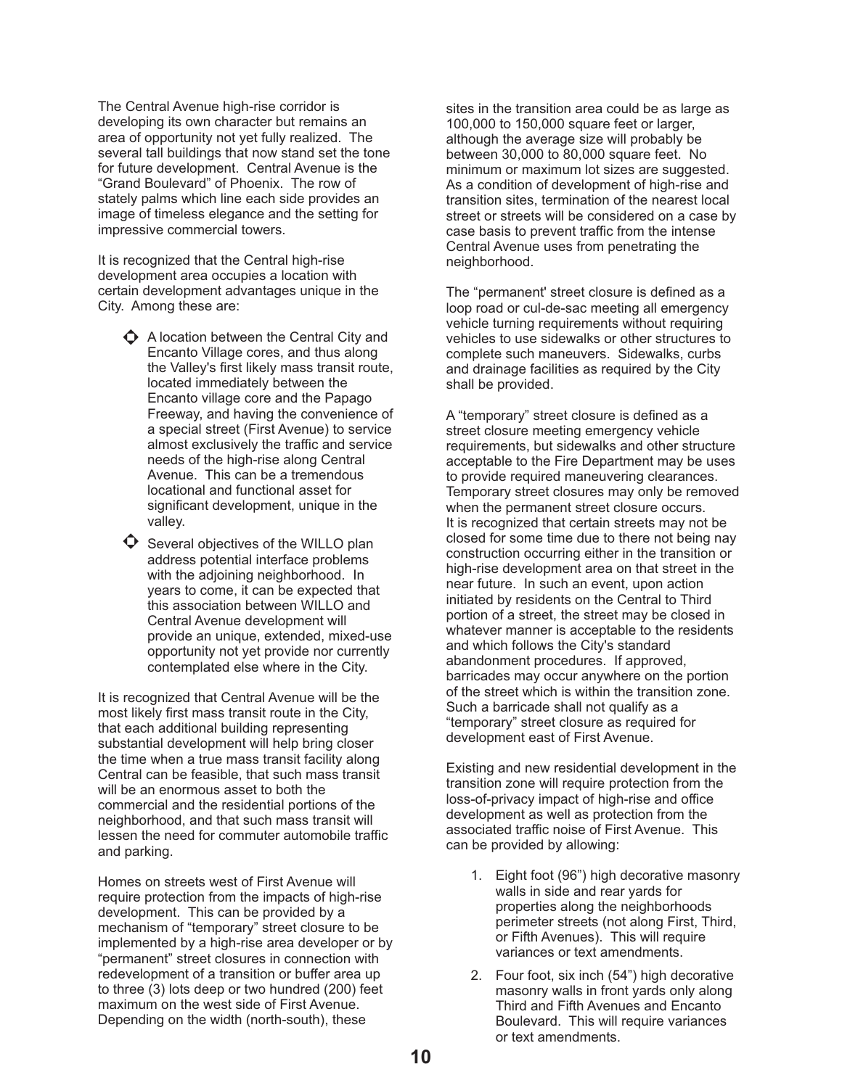The Central Avenue high-rise corridor is developing its own character but remains an area of opportunity not yet fully realized. The several tall buildings that now stand set the tone for future development. Central Avenue is the "Grand Boulevard" of Phoenix. The row of stately palms which line each side provides an image of timeless elegance and the setting for impressive commercial towers.

It is recognized that the Central high-rise development area occupies a location with certain development advantages unique in the City. Among these are:

- $\bullet$  A location between the Central City and Encanto Village cores, and thus along the Valley's first likely mass transit route, located immediately between the Encanto village core and the Papago Freeway, and having the convenience of a special street (First Avenue) to service almost exclusively the traffic and service needs of the high-rise along Central Avenue. This can be a tremendous locational and functional asset for significant development, unique in the valley.
- $\bullet$  Several objectives of the WILLO plan address potential interface problems with the adjoining neighborhood. In years to come, it can be expected that this association between WILLO and Central Avenue development will provide an unique, extended, mixed-use opportunity not yet provide nor currently contemplated else where in the City.

It is recognized that Central Avenue will be the most likely first mass transit route in the City, that each additional building representing substantial development will help bring closer the time when a true mass transit facility along Central can be feasible, that such mass transit will be an enormous asset to both the commercial and the residential portions of the neighborhood, and that such mass transit will lessen the need for commuter automobile traffic and parking.

Homes on streets west of First Avenue will require protection from the impacts of high-rise development. This can be provided by a mechanism of "temporary" street closure to be implemented by a high-rise area developer or by "permanent" street closures in connection with redevelopment of a transition or buffer area up to three (3) lots deep or two hundred (200) feet maximum on the west side of First Avenue. Depending on the width (north-south), these

sites in the transition area could be as large as 100,000 to 150,000 square feet or larger, although the average size will probably be between 30,000 to 80,000 square feet. No minimum or maximum lot sizes are suggested. As a condition of development of high-rise and transition sites, termination of the nearest local street or streets will be considered on a case by case basis to prevent traffic from the intense Central Avenue uses from penetrating the neighborhood.

The "permanent' street closure is defined as a loop road or cul-de-sac meeting all emergency vehicle turning requirements without requiring vehicles to use sidewalks or other structures to complete such maneuvers. Sidewalks, curbs and drainage facilities as required by the City shall be provided.

A "temporary" street closure is defined as a street closure meeting emergency vehicle requirements, but sidewalks and other structure acceptable to the Fire Department may be uses to provide required maneuvering clearances. Temporary street closures may only be removed when the permanent street closure occurs. It is recognized that certain streets may not be closed for some time due to there not being nay construction occurring either in the transition or high-rise development area on that street in the near future. In such an event, upon action initiated by residents on the Central to Third portion of a street, the street may be closed in whatever manner is acceptable to the residents and which follows the City's standard abandonment procedures. If approved, barricades may occur anywhere on the portion of the street which is within the transition zone. Such a barricade shall not qualify as a "temporary" street closure as required for development east of First Avenue.

Existing and new residential development in the transition zone will require protection from the loss-of-privacy impact of high-rise and office development as well as protection from the associated traffic noise of First Avenue. This can be provided by allowing:

- 1. Eight foot (96") high decorative masonry walls in side and rear yards for properties along the neighborhoods perimeter streets (not along First, Third, or Fifth Avenues). This will require variances or text amendments.
- 2. Four foot, six inch (54") high decorative masonry walls in front yards only along Third and Fifth Avenues and Encanto Boulevard. This will require variances or text amendments.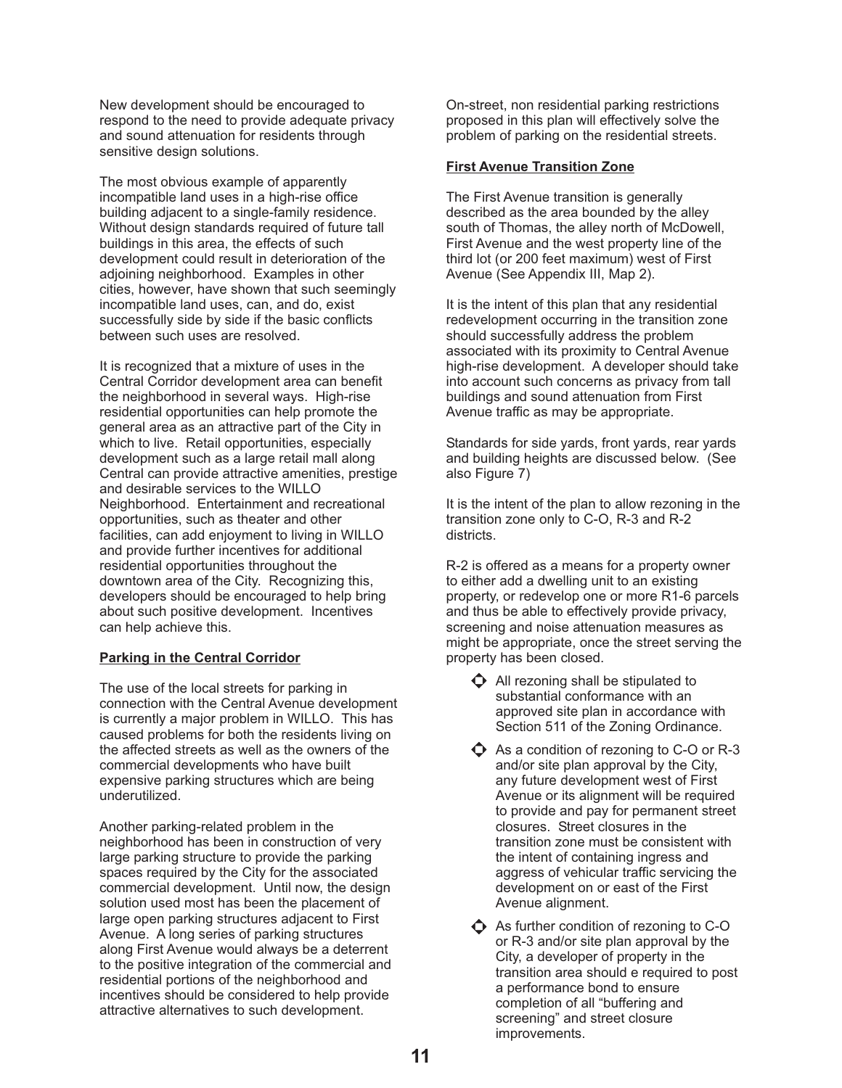New development should be encouraged to respond to the need to provide adequate privacy and sound attenuation for residents through sensitive design solutions.

The most obvious example of apparently incompatible land uses in a high-rise office building adjacent to a single-family residence. Without design standards required of future tall buildings in this area, the effects of such development could result in deterioration of the adjoining neighborhood. Examples in other cities, however, have shown that such seemingly incompatible land uses, can, and do, exist successfully side by side if the basic conflicts between such uses are resolved.

It is recognized that a mixture of uses in the Central Corridor development area can benefit the neighborhood in several ways. High-rise residential opportunities can help promote the general area as an attractive part of the City in which to live. Retail opportunities, especially development such as a large retail mall along Central can provide attractive amenities, prestige and desirable services to the WILLO Neighborhood. Entertainment and recreational opportunities, such as theater and other facilities, can add enjoyment to living in WILLO and provide further incentives for additional residential opportunities throughout the downtown area of the City. Recognizing this, developers should be encouraged to help bring about such positive development. Incentives can help achieve this.

### **Parking in the Central Corridor**

The use of the local streets for parking in connection with the Central Avenue development is currently a major problem in WILLO. This has caused problems for both the residents living on the affected streets as well as the owners of the commercial developments who have built expensive parking structures which are being underutilized.

Another parking-related problem in the neighborhood has been in construction of very large parking structure to provide the parking spaces required by the City for the associated commercial development. Until now, the design solution used most has been the placement of large open parking structures adjacent to First Avenue. A long series of parking structures along First Avenue would always be a deterrent to the positive integration of the commercial and residential portions of the neighborhood and incentives should be considered to help provide attractive alternatives to such development.

On-street, non residential parking restrictions proposed in this plan will effectively solve the problem of parking on the residential streets.

### **First Avenue Transition Zone**

The First Avenue transition is generally described as the area bounded by the alley south of Thomas, the alley north of McDowell, First Avenue and the west property line of the third lot (or 200 feet maximum) west of First Avenue (See Appendix III, Map 2).

It is the intent of this plan that any residential redevelopment occurring in the transition zone should successfully address the problem associated with its proximity to Central Avenue high-rise development. A developer should take into account such concerns as privacy from tall buildings and sound attenuation from First Avenue traffic as may be appropriate.

Standards for side yards, front yards, rear yards and building heights are discussed below. (See also Figure 7)

It is the intent of the plan to allow rezoning in the transition zone only to C-O, R-3 and R-2 districts.

R-2 is offered as a means for a property owner to either add a dwelling unit to an existing property, or redevelop one or more R1-6 parcels and thus be able to effectively provide privacy, screening and noise attenuation measures as might be appropriate, once the street serving the property has been closed.

- $\Phi$  All rezoning shall be stipulated to substantial conformance with an approved site plan in accordance with Section 511 of the Zoning Ordinance.
- $\bullet$  As a condition of rezoning to C-O or R-3 and/or site plan approval by the City, any future development west of First Avenue or its alignment will be required to provide and pay for permanent street closures. Street closures in the transition zone must be consistent with the intent of containing ingress and aggress of vehicular traffic servicing the development on or east of the First Avenue alignment.
- $\bigodot$  As further condition of rezoning to C-O or R-3 and/or site plan approval by the City, a developer of property in the transition area should e required to post a performance bond to ensure completion of all "buffering and screening" and street closure improvements.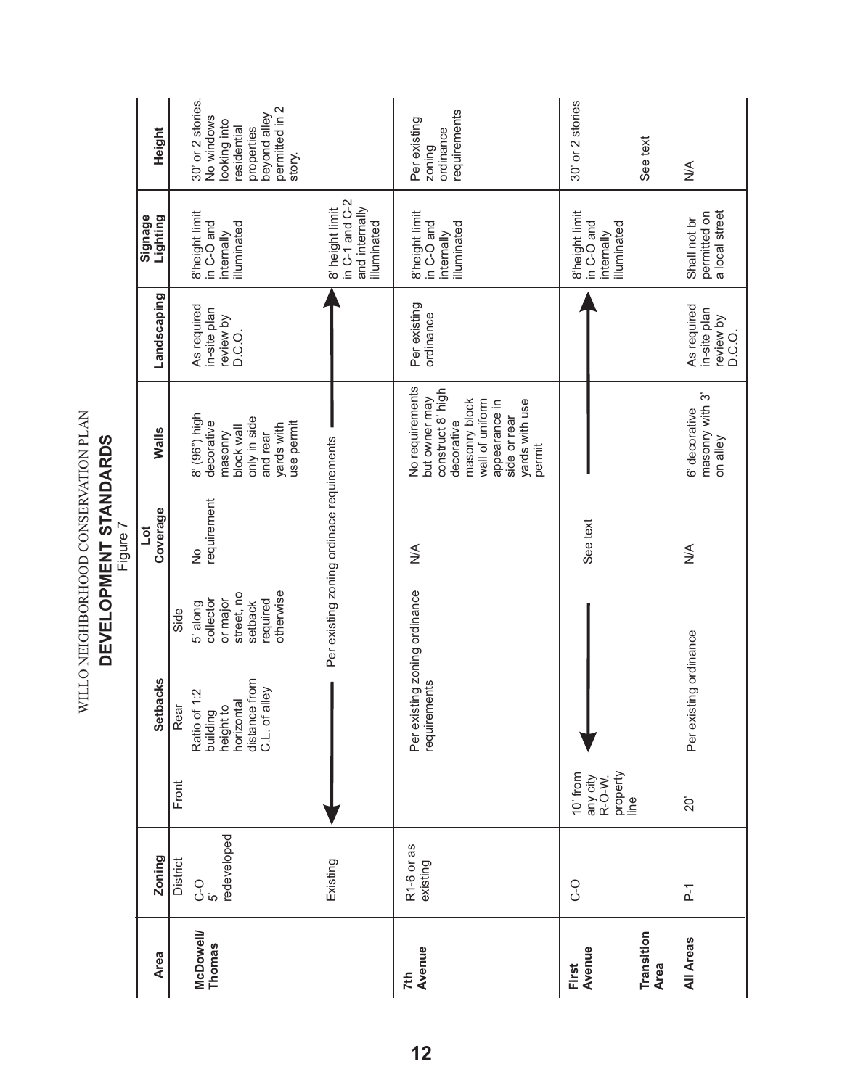|                                               |                                       |                                                    |                                                                                               |                                                                                             | rigure /                                  |                                                                                                                                                                      |                                                    |                                                                    |                                                                                                                          |
|-----------------------------------------------|---------------------------------------|----------------------------------------------------|-----------------------------------------------------------------------------------------------|---------------------------------------------------------------------------------------------|-------------------------------------------|----------------------------------------------------------------------------------------------------------------------------------------------------------------------|----------------------------------------------------|--------------------------------------------------------------------|--------------------------------------------------------------------------------------------------------------------------|
| <b>Area</b>                                   | Zoning                                |                                                    | <b>Setbacks</b>                                                                               |                                                                                             | Coverage<br>jot                           | Walls                                                                                                                                                                | Landscaping                                        | Signage<br>Lighting                                                | Height                                                                                                                   |
| <b>McDowell/</b><br>Thomas                    | redeveloped<br>District<br>ဝ<br>ပဲ ဂ် | Front                                              | distance from<br>C.L. of alley<br>Ratio of 1:2<br>horizontal<br>building<br>height to<br>Rear | otherwise<br>street, no<br>or major<br>collector<br>required<br>setback<br>5' along<br>Side | requirement<br>$\frac{1}{2}$              | 8' (96") high<br>decorative<br>only in side<br>use permit<br>yards with<br>block wall<br>and rear<br>masonry                                                         | As required<br>in-site plan<br>review by<br>D.C.O. | 8'height limit<br>in C-O and<br>illuminated<br>internally          | 30' or 2 stories.<br>permitted in 2<br>beyond alley<br>No windows<br>looking into<br>residential<br>properties<br>story. |
|                                               | Existing                              |                                                    |                                                                                               |                                                                                             | Per existing zoning ordinace requirements |                                                                                                                                                                      |                                                    | in C-1 and C-2<br>and internally<br>8' height limit<br>illuminated |                                                                                                                          |
| Avenue<br>7th                                 | R1-6 or as<br>existing                |                                                    | Per existing zoning ordinance<br>requirements                                                 |                                                                                             | $\frac{1}{2}$                             | No requirements<br>construct 8' high<br>but owner may<br>masonry block<br>wall of uniform<br>appearance in<br>yards with use<br>side or rear<br>decorative<br>permit | Per existing<br>ordinance                          | 8'height limit<br>in C-O and<br>illuminated<br>internally          | requirements<br>Per existing<br>ordinance<br>zoning                                                                      |
| Avenue<br>First                               | o<br>C                                | property<br>10' from<br>any city<br>R-O-W.<br>line |                                                                                               |                                                                                             | See text                                  |                                                                                                                                                                      |                                                    | 8'height limit<br>in C-O and<br>illuminated<br>internally          | 30' or 2 stories                                                                                                         |
| Transition<br><b>All Areas</b><br><b>Area</b> | $\overline{P}$ -1                     | $\overline{20}$                                    | Per existing ordinance                                                                        |                                                                                             | $\stackrel{\leq}{\geq}$                   | masonry with 3'<br>6' decorative<br>on alley                                                                                                                         | As required<br>in-site plan<br>review by<br>D.C.O. | permitted on<br>a local street<br>Shall not br                     | See text<br>$\frac{4}{5}$                                                                                                |

WILLO NEIGHBORHOOD CONSERVATION PLAN<br>DEVELOPMENT STANDARDS **DEVELOPMENT STANDARDS** WILLO NEIGHBORHOOD CONSERVATION PLAN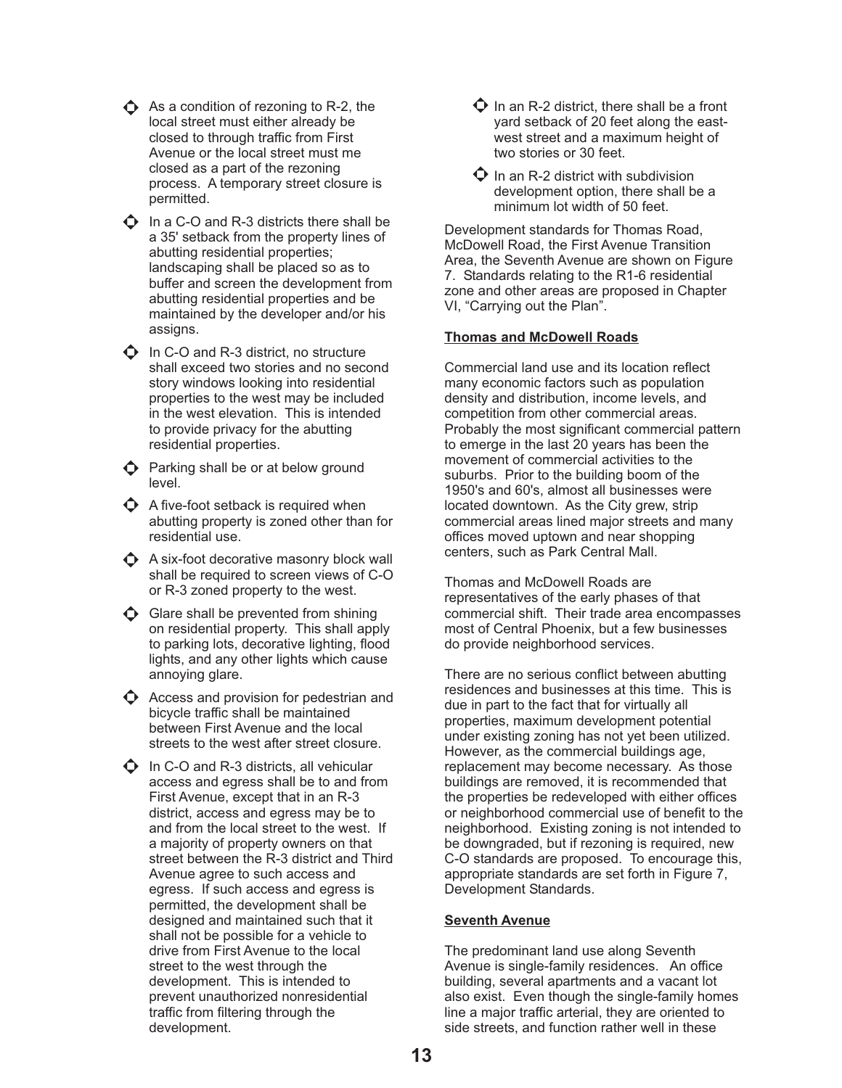- $\triangle$  As a condition of rezoning to R-2, the local street must either already be closed to through traffic from First Avenue or the local street must me closed as a part of the rezoning process. A temporary street closure is permitted.
- $\Phi$  In a C-O and R-3 districts there shall be a 35' setback from the property lines of abutting residential properties; landscaping shall be placed so as to buffer and screen the development from abutting residential properties and be maintained by the developer and/or his assigns.
- $\bullet$  In C-O and R-3 district, no structure shall exceed two stories and no second story windows looking into residential properties to the west may be included in the west elevation. This is intended to provide privacy for the abutting residential properties.
- $\bigodot$  Parking shall be or at below ground level.
- $\boldsymbol{\Diamond}$  A five-foot setback is required when abutting property is zoned other than for residential use.
- $\bigodot$  A six-foot decorative masonry block wall shall be required to screen views of C-O or R-3 zoned property to the west.
- $\bigcirc$  Glare shall be prevented from shining on residential property. This shall apply to parking lots, decorative lighting, flood lights, and any other lights which cause annoying glare.
- $\bullet$  Access and provision for pedestrian and bicycle traffic shall be maintained between First Avenue and the local streets to the west after street closure.
- $\Phi$  In C-O and R-3 districts, all vehicular access and egress shall be to and from First Avenue, except that in an R-3 district, access and egress may be to and from the local street to the west. If a majority of property owners on that street between the R-3 district and Third Avenue agree to such access and egress. If such access and egress is permitted, the development shall be designed and maintained such that it shall not be possible for a vehicle to drive from First Avenue to the local street to the west through the development. This is intended to prevent unauthorized nonresidential traffic from filtering through the development.
- $\Phi$  In an R-2 district, there shall be a front yard setback of 20 feet along the eastwest street and a maximum height of two stories or 30 feet.
- $\bullet$  In an R-2 district with subdivision development option, there shall be a minimum lot width of 50 feet.

Development standards for Thomas Road, McDowell Road, the First Avenue Transition Area, the Seventh Avenue are shown on Figure 7. Standards relating to the R1-6 residential zone and other areas are proposed in Chapter VI, "Carrying out the Plan".

## **Thomas and McDowell Roads**

Commercial land use and its location reflect many economic factors such as population density and distribution, income levels, and competition from other commercial areas. Probably the most significant commercial pattern to emerge in the last 20 years has been the movement of commercial activities to the suburbs. Prior to the building boom of the 1950's and 60's, almost all businesses were located downtown. As the City grew, strip commercial areas lined major streets and many offices moved uptown and near shopping centers, such as Park Central Mall.

Thomas and McDowell Roads are representatives of the early phases of that commercial shift. Their trade area encompasses most of Central Phoenix, but a few businesses do provide neighborhood services.

There are no serious conflict between abutting residences and businesses at this time. This is due in part to the fact that for virtually all properties, maximum development potential under existing zoning has not yet been utilized. However, as the commercial buildings age, replacement may become necessary. As those buildings are removed, it is recommended that the properties be redeveloped with either offices or neighborhood commercial use of benefit to the neighborhood. Existing zoning is not intended to be downgraded, but if rezoning is required, new C-O standards are proposed. To encourage this, appropriate standards are set forth in Figure 7, Development Standards.

## **Seventh Avenue**

The predominant land use along Seventh Avenue is single-family residences. An office building, several apartments and a vacant lot also exist. Even though the single-family homes line a major traffic arterial, they are oriented to side streets, and function rather well in these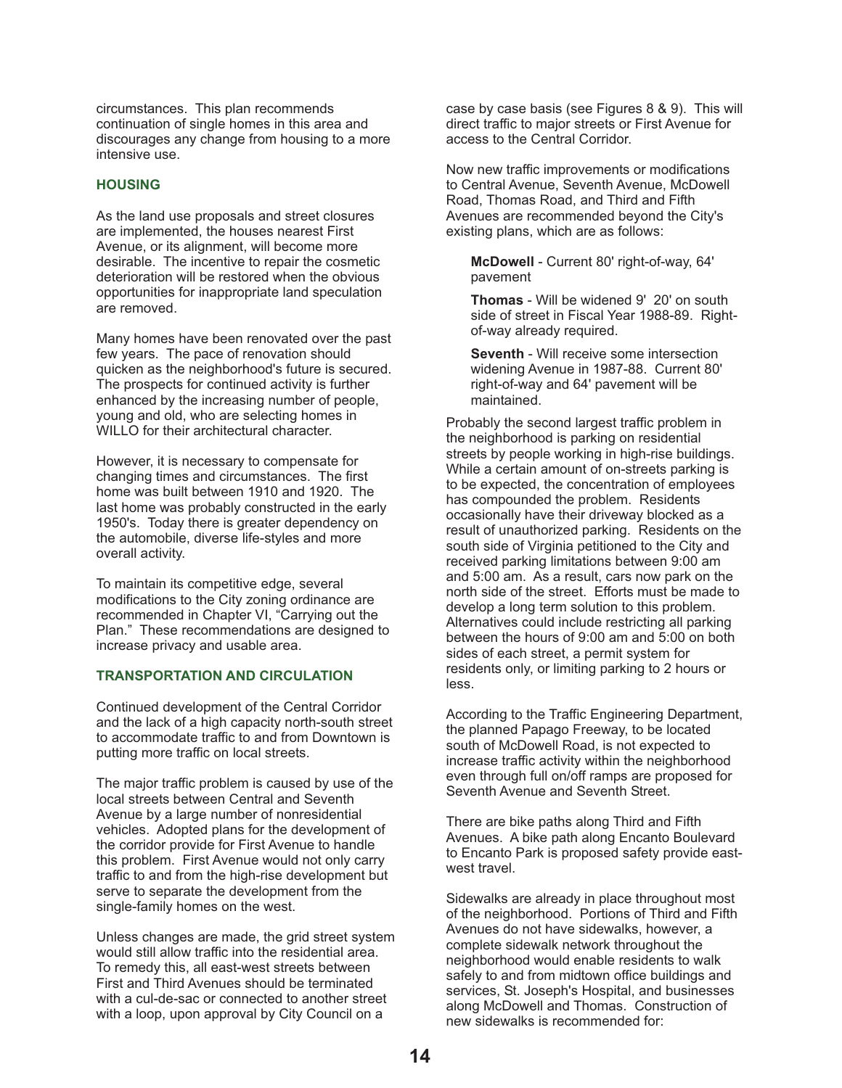circumstances. This plan recommends continuation of single homes in this area and discourages any change from housing to a more intensive use.

#### **HOUSING**

As the land use proposals and street closures are implemented, the houses nearest First Avenue, or its alignment, will become more desirable. The incentive to repair the cosmetic deterioration will be restored when the obvious opportunities for inappropriate land speculation are removed.

Many homes have been renovated over the past few years. The pace of renovation should quicken as the neighborhood's future is secured. The prospects for continued activity is further enhanced by the increasing number of people, young and old, who are selecting homes in WILLO for their architectural character.

However, it is necessary to compensate for changing times and circumstances. The first home was built between 1910 and 1920. The last home was probably constructed in the early 1950's. Today there is greater dependency on the automobile, diverse life-styles and more overall activity.

To maintain its competitive edge, several modifications to the City zoning ordinance are recommended in Chapter VI, "Carrying out the Plan." These recommendations are designed to increase privacy and usable area.

#### **TRANSPORTATION AND CIRCULATION**

Continued development of the Central Corridor and the lack of a high capacity north-south street to accommodate traffic to and from Downtown is putting more traffic on local streets.

The major traffic problem is caused by use of the local streets between Central and Seventh Avenue by a large number of nonresidential vehicles. Adopted plans for the development of the corridor provide for First Avenue to handle this problem. First Avenue would not only carry traffic to and from the high-rise development but serve to separate the development from the single-family homes on the west.

Unless changes are made, the grid street system would still allow traffic into the residential area. To remedy this, all east-west streets between First and Third Avenues should be terminated with a cul-de-sac or connected to another street with a loop, upon approval by City Council on a

case by case basis (see Figures 8 & 9). This will direct traffic to major streets or First Avenue for access to the Central Corridor.

Now new traffic improvements or modifications to Central Avenue, Seventh Avenue, McDowell Road, Thomas Road, and Third and Fifth Avenues are recommended beyond the City's existing plans, which are as follows:

McDowell - Current 80' right-of-way, 64' pavement

**Thomas** - Will be widened 9' 20' on south side of street in Fiscal Year 1988-89. Rightof-way already required.

**Seventh** - Will receive some intersection widening Avenue in 1987-88. Current 80' right-of-way and 64' pavement will be maintained.

Probably the second largest traffic problem in the neighborhood is parking on residential streets by people working in high-rise buildings. While a certain amount of on-streets parking is to be expected, the concentration of employees has compounded the problem. Residents occasionally have their driveway blocked as a result of unauthorized parking. Residents on the south side of Virginia petitioned to the City and received parking limitations between 9:00 am and 5:00 am. As a result, cars now park on the north side of the street. Efforts must be made to develop a long term solution to this problem. Alternatives could include restricting all parking between the hours of 9:00 am and 5:00 on both sides of each street, a permit system for residents only, or limiting parking to 2 hours or less.

According to the Traffic Engineering Department, the planned Papago Freeway, to be located south of McDowell Road, is not expected to increase traffic activity within the neighborhood even through full on/off ramps are proposed for Seventh Avenue and Seventh Street.

There are bike paths along Third and Fifth Avenues. A bike path along Encanto Boulevard to Encanto Park is proposed safety provide eastwest travel.

Sidewalks are already in place throughout most of the neighborhood. Portions of Third and Fifth Avenues do not have sidewalks, however, a complete sidewalk network throughout the neighborhood would enable residents to walk safely to and from midtown office buildings and services, St. Joseph's Hospital, and businesses along McDowell and Thomas. Construction of new sidewalks is recommended for: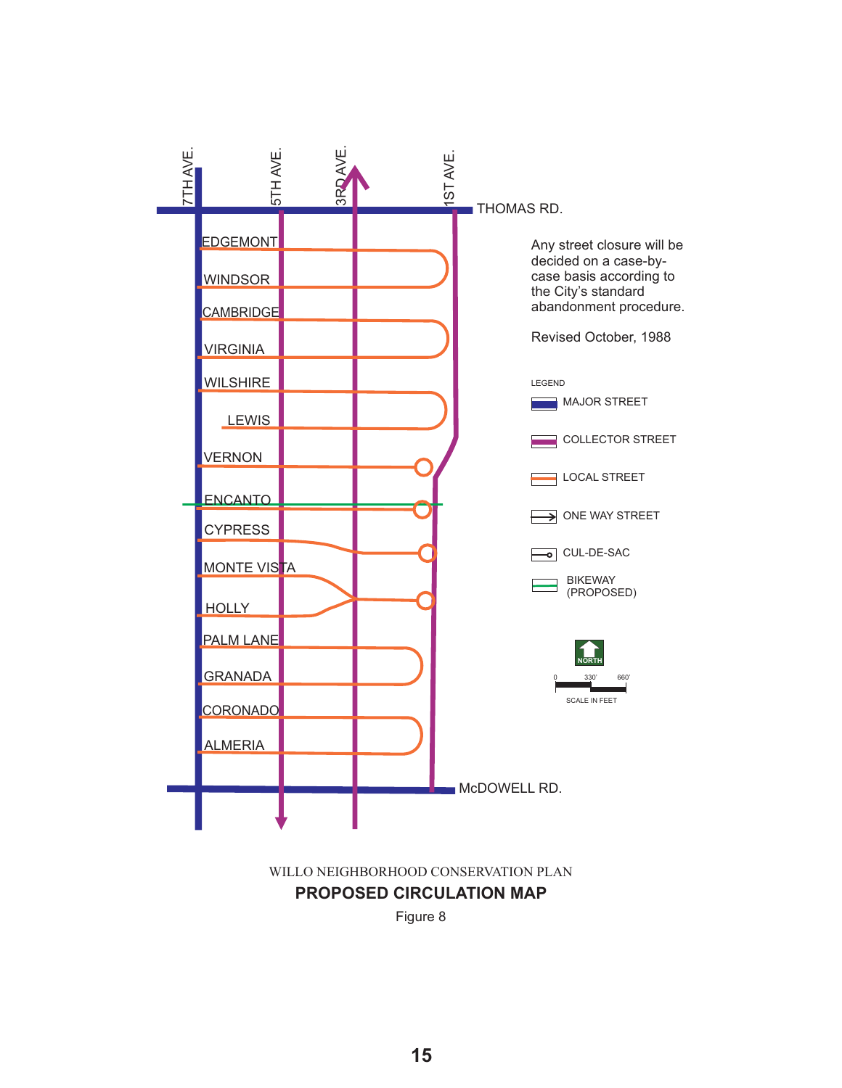

**PROPOSED CIRCULATION MAP** WILLO NEIGHBORHOOD CONSERVATION PLAN

Figure 8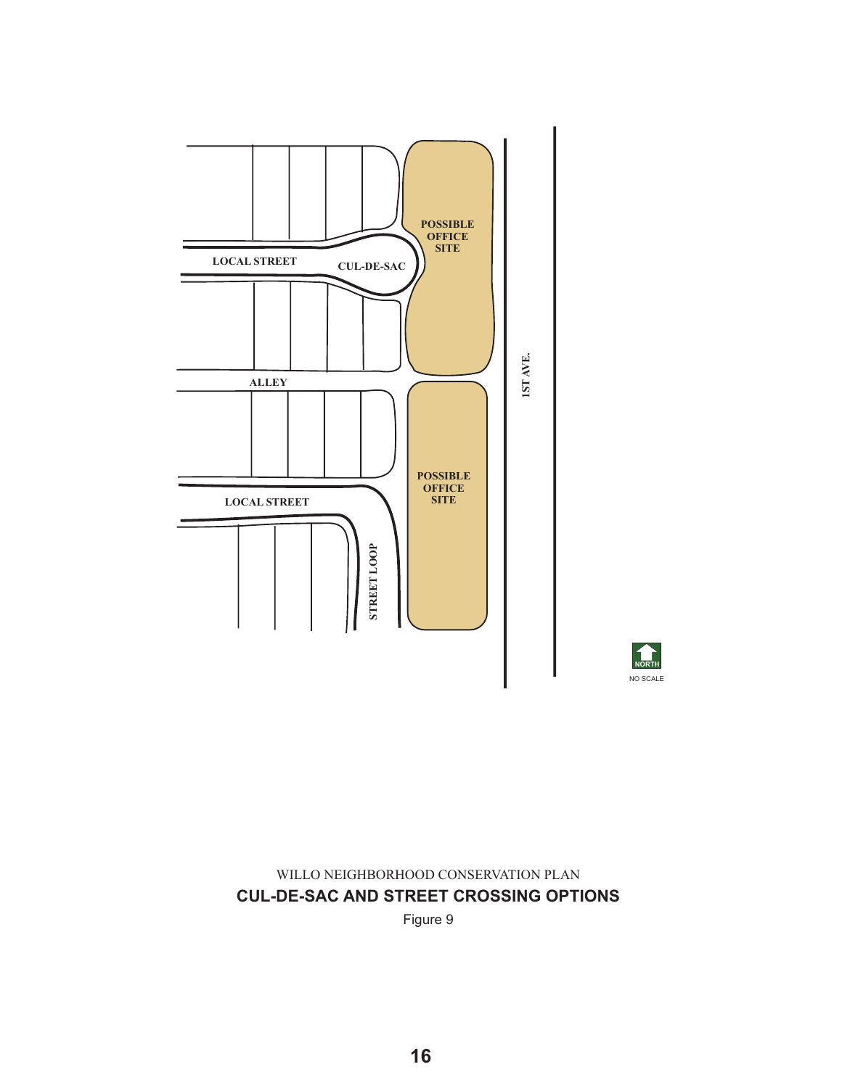



**CUL-DE-SAC AND STREET CROSSING OPTIONS** WILLO NEIGHBORHOOD CONSERVATION PLAN

Figure 9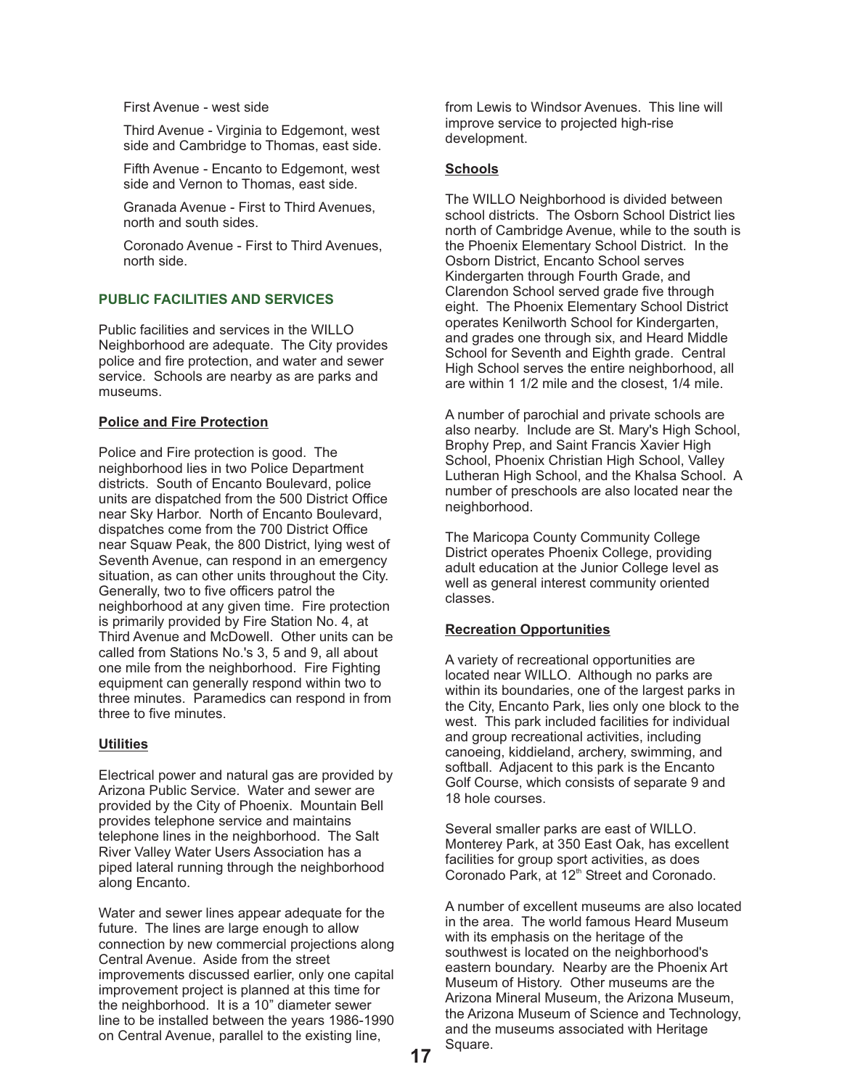First Avenue - west side

Third Avenue - Virginia to Edgemont, west side and Cambridge to Thomas, east side.

Fifth Avenue - Encanto to Edgemont, west side and Vernon to Thomas, east side.

Granada Avenue - First to Third Avenues, north and south sides.

Coronado Avenue - First to Third Avenues, north side.

### **PUBLIC FACILITIES AND SERVICES**

Public facilities and services in the WILLO Neighborhood are adequate. The City provides police and fire protection, and water and sewer service. Schools are nearby as are parks and museums.

#### **Police and Fire Protection**

Police and Fire protection is good. The neighborhood lies in two Police Department districts. South of Encanto Boulevard, police units are dispatched from the 500 District Office near Sky Harbor. North of Encanto Boulevard, dispatches come from the 700 District Office near Squaw Peak, the 800 District, lying west of Seventh Avenue, can respond in an emergency situation, as can other units throughout the City. Generally, two to five officers patrol the neighborhood at any given time. Fire protection is primarily provided by Fire Station No. 4, at Third Avenue and McDowell. Other units can be called from Stations No.'s 3, 5 and 9, all about one mile from the neighborhood. Fire Fighting equipment can generally respond within two to three minutes. Paramedics can respond in from three to five minutes.

### **Utilities**

Electrical power and natural gas are provided by Arizona Public Service. Water and sewer are provided by the City of Phoenix. Mountain Bell provides telephone service and maintains telephone lines in the neighborhood. The Salt River Valley Water Users Association has a piped lateral running through the neighborhood along Encanto.

Water and sewer lines appear adequate for the future. The lines are large enough to allow connection by new commercial projections along Central Avenue. Aside from the street improvements discussed earlier, only one capital improvement project is planned at this time for the neighborhood. It is a 10" diameter sewer line to be installed between the years 1986-1990 on Central Avenue, parallel to the existing line,

from Lewis to Windsor Avenues. This line will improve service to projected high-rise development.

#### **Schools**

The WILLO Neighborhood is divided between school districts. The Osborn School District lies north of Cambridge Avenue, while to the south is the Phoenix Elementary School District. In the Osborn District, Encanto School serves Kindergarten through Fourth Grade, and Clarendon School served grade five through eight. The Phoenix Elementary School District operates Kenilworth School for Kindergarten, and grades one through six, and Heard Middle School for Seventh and Eighth grade. Central High School serves the entire neighborhood, all are within 1 1/2 mile and the closest, 1/4 mile.

A number of parochial and private schools are also nearby. Include are St. Mary's High School, Brophy Prep, and Saint Francis Xavier High School, Phoenix Christian High School, Valley Lutheran High School, and the Khalsa School. A number of preschools are also located near the neighborhood.

The Maricopa County Community College District operates Phoenix College, providing adult education at the Junior College level as well as general interest community oriented classes.

### **Recreation Opportunities**

A variety of recreational opportunities are located near WILLO. Although no parks are within its boundaries, one of the largest parks in the City, Encanto Park, lies only one block to the west. This park included facilities for individual and group recreational activities, including canoeing, kiddieland, archery, swimming, and softball. Adjacent to this park is the Encanto Golf Course, which consists of separate 9 and 18 hole courses.

Several smaller parks are east of WILLO. Monterey Park, at 350 East Oak, has excellent facilities for group sport activities, as does Coronado Park, at 12<sup>th</sup> Street and Coronado.

A number of excellent museums are also located in the area. The world famous Heard Museum with its emphasis on the heritage of the southwest is located on the neighborhood's eastern boundary. Nearby are the Phoenix Art Museum of History. Other museums are the Arizona Mineral Museum, the Arizona Museum, the Arizona Museum of Science and Technology, and the museums associated with Heritage Square.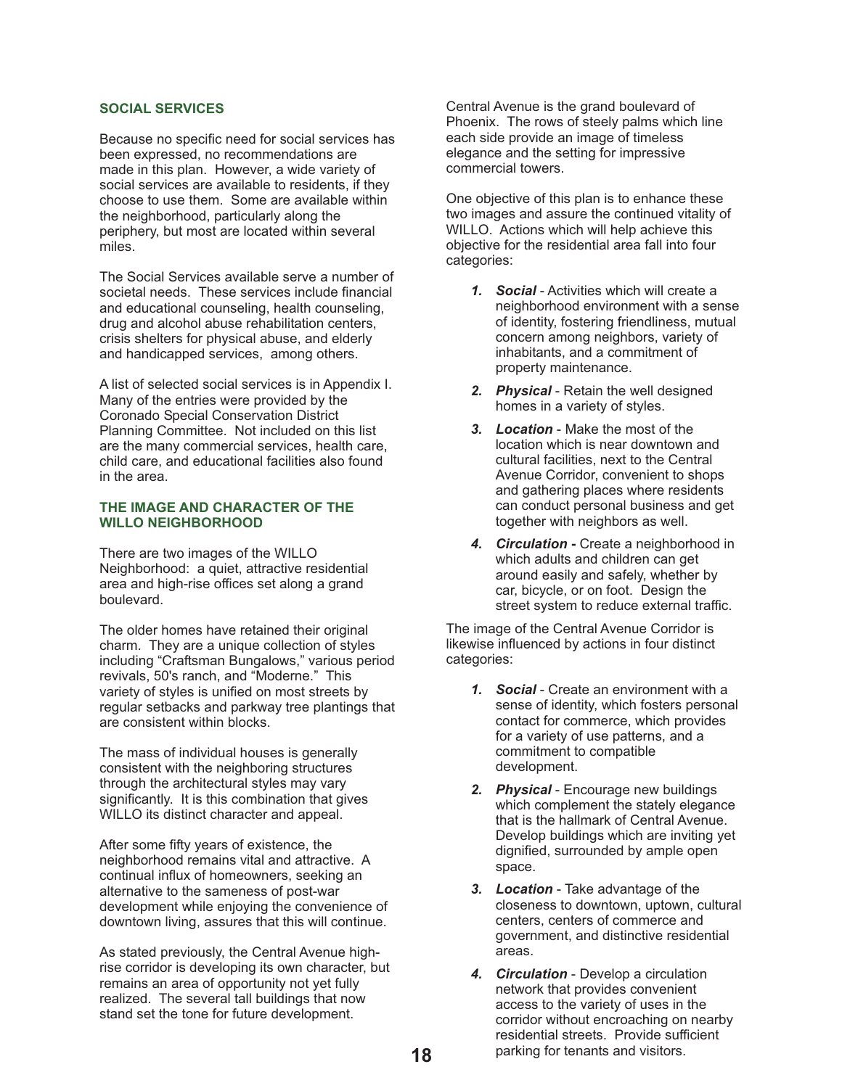#### **SOCIAL SERVICES**

Because no specific need for social services has been expressed, no recommendations are made in this plan. However, a wide variety of social services are available to residents, if they choose to use them. Some are available within the neighborhood, particularly along the periphery, but most are located within several miles.

The Social Services available serve a number of societal needs. These services include financial and educational counseling, health counseling, drug and alcohol abuse rehabilitation centers, crisis shelters for physical abuse, and elderly and handicapped services, among others.

A list of selected social services is in Appendix I. Many of the entries were provided by the Coronado Special Conservation District Planning Committee. Not included on this list are the many commercial services, health care, child care, and educational facilities also found in the area.

#### **THE IMAGE AND CHARACTER OF THE WILLO NEIGHBORHOOD**

There are two images of the WILLO Neighborhood: a quiet, attractive residential area and high-rise offices set along a grand boulevard.

The older homes have retained their original charm. They are a unique collection of styles including "Craftsman Bungalows," various period revivals, 50's ranch, and "Moderne." This variety of styles is unified on most streets by regular setbacks and parkway tree plantings that are consistent within blocks.

The mass of individual houses is generally consistent with the neighboring structures through the architectural styles may vary significantly. It is this combination that gives WILLO its distinct character and appeal.

After some fifty years of existence, the neighborhood remains vital and attractive. A continual influx of homeowners, seeking an alternative to the sameness of post-war development while enjoying the convenience of downtown living, assures that this will continue.

As stated previously, the Central Avenue highrise corridor is developing its own character, but remains an area of opportunity not yet fully realized. The several tall buildings that now stand set the tone for future development.

Central Avenue is the grand boulevard of Phoenix. The rows of steely palms which line each side provide an image of timeless elegance and the setting for impressive commercial towers.

One objective of this plan is to enhance these two images and assure the continued vitality of WILLO. Actions which will help achieve this objective for the residential area fall into four categories:

- 1. Social Activities which will create a neighborhood environment with a sense of identity, fostering friendliness, mutual concern among neighbors, variety of inhabitants, and a commitment of property maintenance.
- 2. Physical Retain the well designed homes in a variety of styles.
- 3. Location Make the most of the location which is near downtown and cultural facilities, next to the Central Avenue Corridor, convenient to shops and gathering places where residents can conduct personal business and get together with neighbors as well.
- 4. Circulation Create a neighborhood in which adults and children can get around easily and safely, whether by car, bicycle, or on foot. Design the street system to reduce external traffic.

The image of the Central Avenue Corridor is likewise influenced by actions in four distinct categories:

- 1. Social Create an environment with a sense of identity, which fosters personal contact for commerce, which provides for a variety of use patterns, and a commitment to compatible development.
- 2. Physical Encourage new buildings which complement the stately elegance that is the hallmark of Central Avenue. Develop buildings which are inviting yet dignified, surrounded by ample open space.
- 3. Location Take advantage of the closeness to downtown, uptown, cultural centers, centers of commerce and government, and distinctive residential areas.
- 4. Circulation Develop a circulation network that provides convenient access to the variety of uses in the corridor without encroaching on nearby residential streets. Provide sufficient parking for tenants and visitors.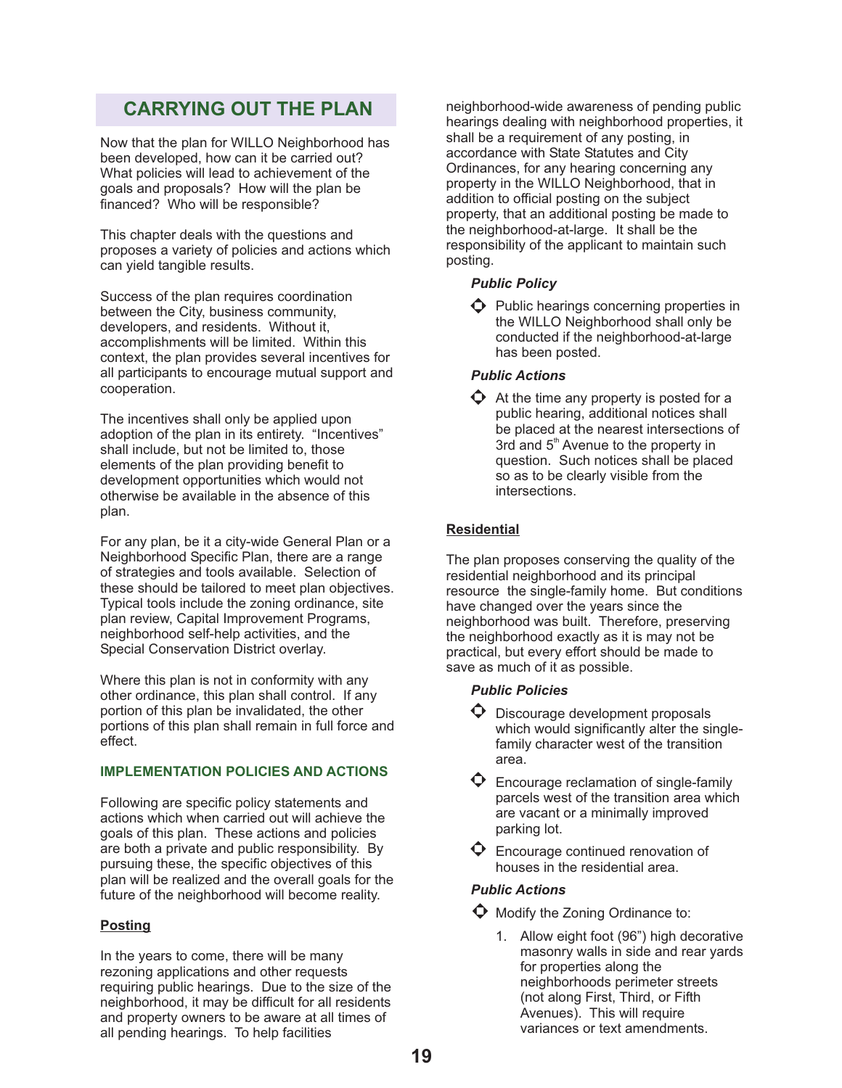## **CARRYING OUT THE PLAN**

Now that the plan for WILLO Neighborhood has been developed, how can it be carried out? What policies will lead to achievement of the goals and proposals? How will the plan be financed? Who will be responsible?

This chapter deals with the questions and proposes a variety of policies and actions which can yield tangible results.

Success of the plan requires coordination between the City, business community, developers, and residents. Without it, accomplishments will be limited. Within this context, the plan provides several incentives for all participants to encourage mutual support and cooperation.

The incentives shall only be applied upon adoption of the plan in its entirety. "Incentives" shall include, but not be limited to, those elements of the plan providing benefit to development opportunities which would not otherwise be available in the absence of this plan.

For any plan, be it a city-wide General Plan or a Neighborhood Specific Plan, there are a range of strategies and tools available. Selection of these should be tailored to meet plan objectives. Typical tools include the zoning ordinance, site plan review, Capital Improvement Programs, neighborhood self-help activities, and the Special Conservation District overlay.

Where this plan is not in conformity with any other ordinance, this plan shall control. If any portion of this plan be invalidated, the other portions of this plan shall remain in full force and effect.

## **IMPLEMENTATION POLICIES AND ACTIONS**

Following are specific policy statements and actions which when carried out will achieve the goals of this plan. These actions and policies are both a private and public responsibility. By pursuing these, the specific objectives of this plan will be realized and the overall goals for the future of the neighborhood will become reality.

## **Posting**

In the years to come, there will be many rezoning applications and other requests requiring public hearings. Due to the size of the neighborhood, it may be difficult for all residents and property owners to be aware at all times of all pending hearings. To help facilities

neighborhood-wide awareness of pending public hearings dealing with neighborhood properties, it shall be a requirement of any posting, in accordance with State Statutes and City Ordinances, for any hearing concerning any property in the WILLO Neighborhood, that in addition to official posting on the subject property, that an additional posting be made to the neighborhood-at-large. It shall be the responsibility of the applicant to maintain such posting.

## *Public Policy*

 $\bullet$  Public hearings concerning properties in the WILLO Neighborhood shall only be conducted if the neighborhood-at-large has been posted.

## *Public Actions*

 $\bullet$  At the time any property is posted for a public hearing, additional notices shall be placed at the nearest intersections of 3rd and 5<sup>th</sup> Avenue to the property in question. Such notices shall be placed so as to be clearly visible from the intersections.

## **Residential**

The plan proposes conserving the quality of the residential neighborhood and its principal resource the single-family home. But conditions have changed over the years since the neighborhood was built. Therefore, preserving the neighborhood exactly as it is may not be practical, but every effort should be made to save as much of it as possible.

## *Public Policies*

- $\bullet$  Discourage development proposals which would significantly alter the singlefamily character west of the transition area.
- $\bullet$  Encourage reclamation of single-family parcels west of the transition area which are vacant or a minimally improved parking lot.
- $\mathbf \Theta$  Encourage continued renovation of houses in the residential area.

## *Public Actions*

 $\bullet$  Modify the Zoning Ordinance to:

1. Allow eight foot (96") high decorative masonry walls in side and rear yards for properties along the neighborhoods perimeter streets (not along First, Third, or Fifth Avenues). This will require variances or text amendments.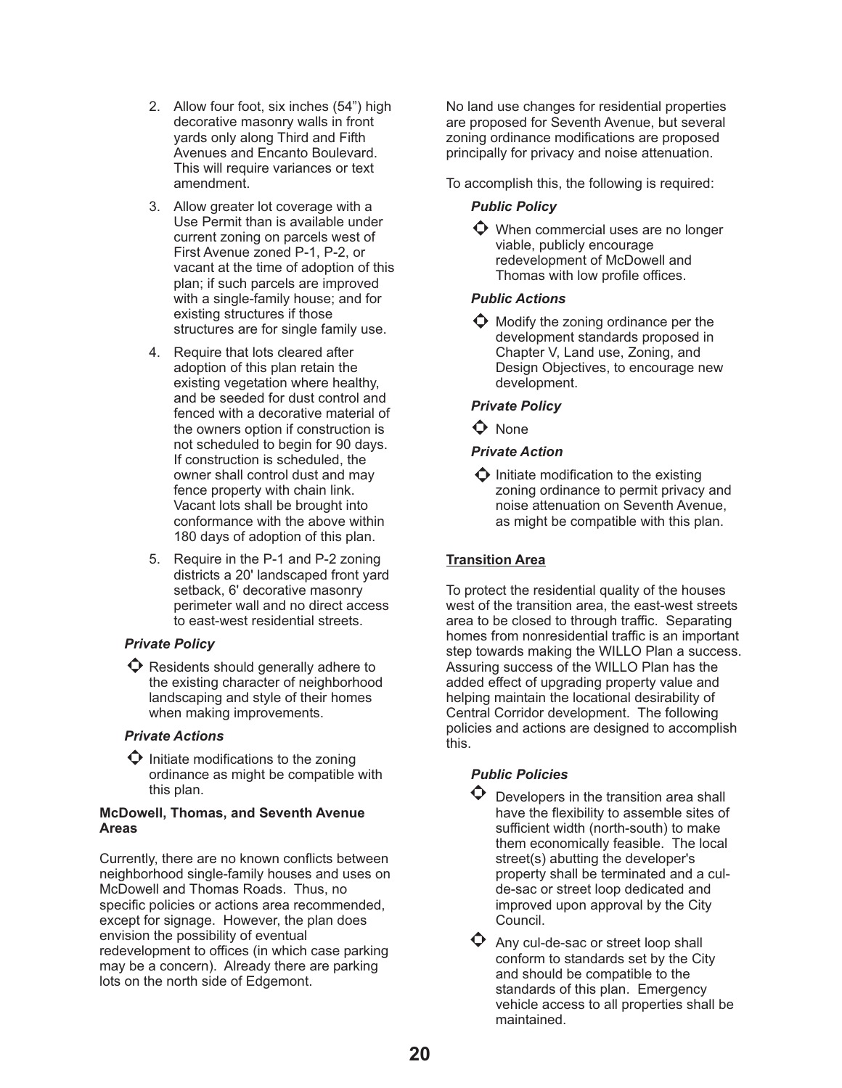- 2. Allow four foot, six inches (54") high decorative masonry walls in front yards only along Third and Fifth Avenues and Encanto Boulevard. This will require variances or text amendment.
- 3. Allow greater lot coverage with a Use Permit than is available under current zoning on parcels west of First Avenue zoned P-1, P-2, or vacant at the time of adoption of this plan; if such parcels are improved with a single-family house; and for existing structures if those structures are for single family use.
- 4. Require that lots cleared after adoption of this plan retain the existing vegetation where healthy, and be seeded for dust control and fenced with a decorative material of the owners option if construction is not scheduled to begin for 90 days. If construction is scheduled, the owner shall control dust and may fence property with chain link. Vacant lots shall be brought into conformance with the above within 180 days of adoption of this plan.
- 5. Require in the P-1 and P-2 zoning districts a 20' landscaped front yard setback, 6' decorative masonry perimeter wall and no direct access to east-west residential streets.

## *Private Policy*

 $\bullet$  Residents should generally adhere to the existing character of neighborhood landscaping and style of their homes when making improvements.

## *Private Actions*

 $\bullet$  Initiate modifications to the zoning ordinance as might be compatible with this plan.

## **McDowell, Thomas, and Seventh Avenue Areas**

Currently, there are no known conflicts between neighborhood single-family houses and uses on McDowell and Thomas Roads. Thus, no specific policies or actions area recommended, except for signage. However, the plan does envision the possibility of eventual redevelopment to offices (in which case parking may be a concern). Already there are parking lots on the north side of Edgemont.

No land use changes for residential properties are proposed for Seventh Avenue, but several zoning ordinance modifications are proposed principally for privacy and noise attenuation.

To accomplish this, the following is required:

## *Public Policy*

 $\bullet$  When commercial uses are no longer viable, publicly encourage redevelopment of McDowell and Thomas with low profile offices.

## *Public Actions*

 $\bullet$  Modify the zoning ordinance per the development standards proposed in Chapter V, Land use, Zoning, and Design Objectives, to encourage new development.

## *Private Policy*

 $\bullet$  None

## *Private Action*

 $\Phi$  Initiate modification to the existing zoning ordinance to permit privacy and noise attenuation on Seventh Avenue, as might be compatible with this plan.

## **Transition Area**

To protect the residential quality of the houses west of the transition area, the east-west streets area to be closed to through traffic. Separating homes from nonresidential traffic is an important step towards making the WILLO Plan a success. Assuring success of the WILLO Plan has the added effect of upgrading property value and helping maintain the locational desirability of Central Corridor development. The following policies and actions are designed to accomplish this.

## *Public Policies*

 $\bullet$  Developers in the transition area shall have the flexibility to assemble sites of sufficient width (north-south) to make them economically feasible. The local street(s) abutting the developer's property shall be terminated and a culde-sac or street loop dedicated and improved upon approval by the City Council.

 $\bullet$  Any cul-de-sac or street loop shall conform to standards set by the City and should be compatible to the standards of this plan. Emergency vehicle access to all properties shall be maintained.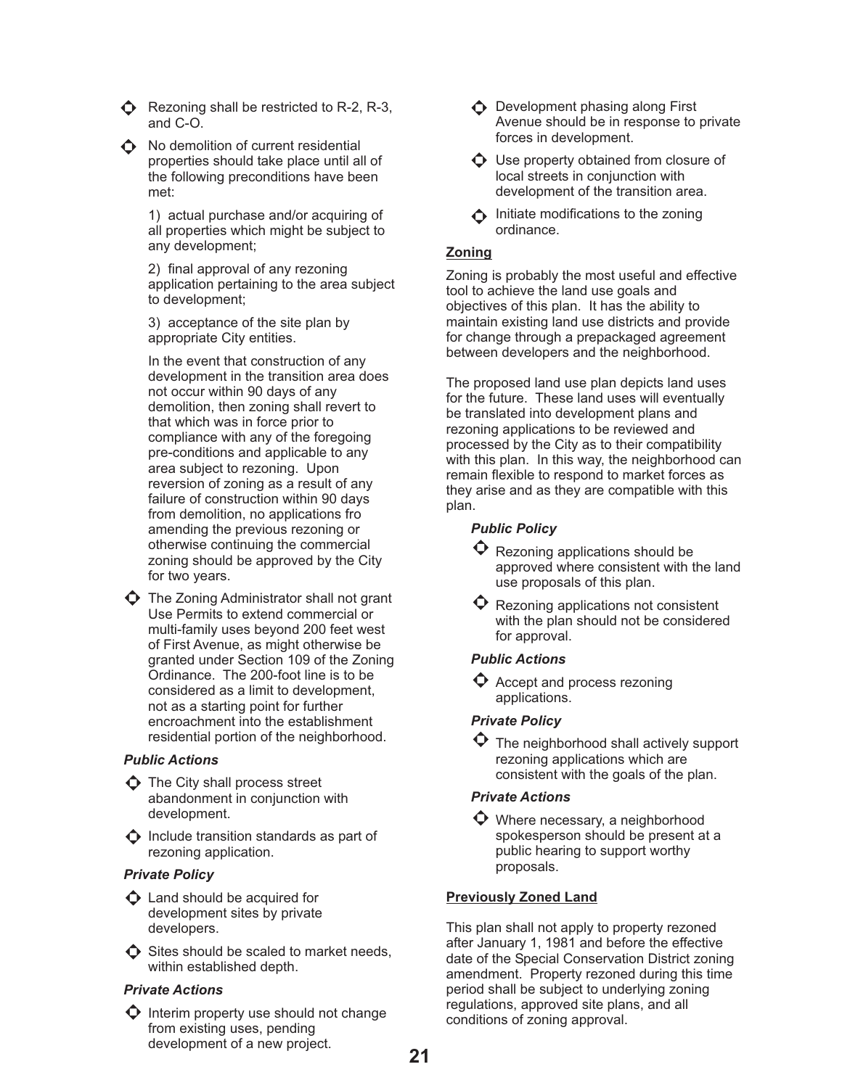$\bigodot$  Rezoning shall be restricted to R-2, R-3, and C-O.



 $\bigodot$  No demolition of current residential properties should take place until all of the following preconditions have been met:

> 1) actual purchase and/or acquiring of all properties which might be subject to any development;

2) final approval of any rezoning application pertaining to the area subject to development;

3) acceptance of the site plan by appropriate City entities.

In the event that construction of any development in the transition area does not occur within 90 days of any demolition, then zoning shall revert to that which was in force prior to compliance with any of the foregoing pre-conditions and applicable to any area subject to rezoning. Upon reversion of zoning as a result of any failure of construction within 90 days from demolition, no applications fro amending the previous rezoning or otherwise continuing the commercial zoning should be approved by the City for two years.

 $\bullet$  The Zoning Administrator shall not grant Use Permits to extend commercial or multi-family uses beyond 200 feet west of First Avenue, as might otherwise be granted under Section 109 of the Zoning Ordinance. The 200-foot line is to be considered as a limit to development, not as a starting point for further encroachment into the establishment residential portion of the neighborhood.

### *Public Actions*

 $\Phi$  The City shall process street abandonment in conjunction with development.

 $\bullet$  Include transition standards as part of rezoning application.

#### *Private Policy*

- $\Phi$  Land should be acquired for development sites by private developers.
- $\bullet$  Sites should be scaled to market needs, within established depth.

## *Private Actions*

 $\bullet$  Interim property use should not change from existing uses, pending development of a new project.

- $\triangle$  Development phasing along First Avenue should be in response to private forces in development.
- $\bullet$  Use property obtained from closure of local streets in conjunction with development of the transition area.
- $\bigwedge$  Initiate modifications to the zoning ordinance.

## **Zoning**

Zoning is probably the most useful and effective tool to achieve the land use goals and objectives of this plan. It has the ability to maintain existing land use districts and provide for change through a prepackaged agreement between developers and the neighborhood.

The proposed land use plan depicts land uses for the future. These land uses will eventually be translated into development plans and rezoning applications to be reviewed and processed by the City as to their compatibility with this plan. In this way, the neighborhood can remain flexible to respond to market forces as they arise and as they are compatible with this plan.

## *Public Policy*

 $\mathbf \Theta$  Rezoning applications should be approved where consistent with the land use proposals of this plan.

 $\mathbf \Theta$  Rezoning applications not consistent with the plan should not be considered for approval.

### *Public Actions*

 $\bullet$  Accept and process rezoning applications.

## *Private Policy*

 $\bullet$  The neighborhood shall actively support rezoning applications which are consistent with the goals of the plan.

### *Private Actions*

 $\bullet$  Where necessary, a neighborhood spokesperson should be present at a public hearing to support worthy proposals.

### **Previously Zoned Land**

This plan shall not apply to property rezoned after January 1, 1981 and before the effective date of the Special Conservation District zoning amendment. Property rezoned during this time period shall be subject to underlying zoning regulations, approved site plans, and all conditions of zoning approval.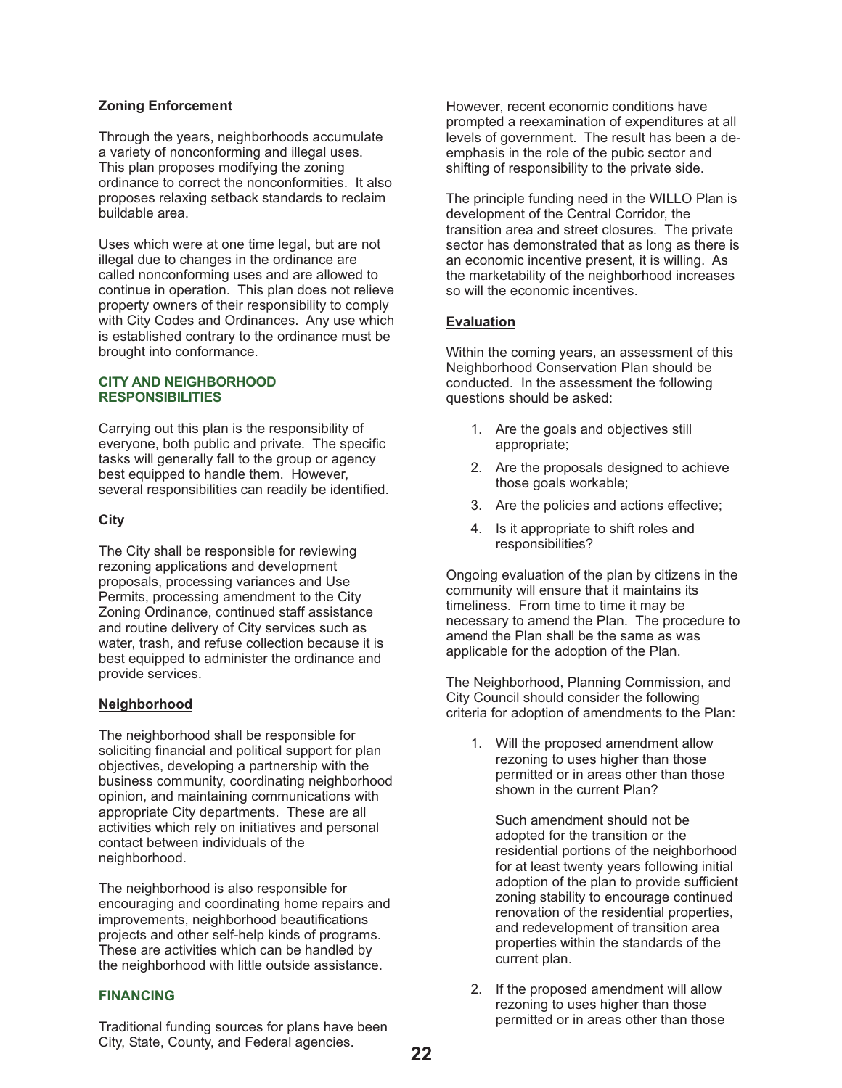## **Zoning Enforcement**

Through the years, neighborhoods accumulate a variety of nonconforming and illegal uses. This plan proposes modifying the zoning ordinance to correct the nonconformities. It also proposes relaxing setback standards to reclaim buildable area.

Uses which were at one time legal, but are not illegal due to changes in the ordinance are called nonconforming uses and are allowed to continue in operation. This plan does not relieve property owners of their responsibility to comply with City Codes and Ordinances. Any use which is established contrary to the ordinance must be brought into conformance.

#### **CITY AND NEIGHBORHOOD RESPONSIBILITIES**

Carrying out this plan is the responsibility of everyone, both public and private. The specific tasks will generally fall to the group or agency best equipped to handle them. However, several responsibilities can readily be identified.

## **City**

The City shall be responsible for reviewing rezoning applications and development proposals, processing variances and Use Permits, processing amendment to the City Zoning Ordinance, continued staff assistance and routine delivery of City services such as water, trash, and refuse collection because it is best equipped to administer the ordinance and provide services.

### **Neighborhood**

The neighborhood shall be responsible for soliciting financial and political support for plan objectives, developing a partnership with the business community, coordinating neighborhood opinion, and maintaining communications with appropriate City departments. These are all activities which rely on initiatives and personal contact between individuals of the neighborhood.

The neighborhood is also responsible for encouraging and coordinating home repairs and improvements, neighborhood beautifications projects and other self-help kinds of programs. These are activities which can be handled by the neighborhood with little outside assistance.

### **FINANCING**

Traditional funding sources for plans have been City, State, County, and Federal agencies.

However, recent economic conditions have prompted a reexamination of expenditures at all levels of government. The result has been a deemphasis in the role of the pubic sector and shifting of responsibility to the private side.

The principle funding need in the WILLO Plan is development of the Central Corridor, the transition area and street closures. The private sector has demonstrated that as long as there is an economic incentive present, it is willing. As the marketability of the neighborhood increases so will the economic incentives.

## **Evaluation**

Within the coming years, an assessment of this Neighborhood Conservation Plan should be conducted. In the assessment the following questions should be asked:

- 1. Are the goals and objectives still appropriate;
- 2. Are the proposals designed to achieve those goals workable;
- 3. Are the policies and actions effective;
- 4. Is it appropriate to shift roles and responsibilities?

Ongoing evaluation of the plan by citizens in the community will ensure that it maintains its timeliness. From time to time it may be necessary to amend the Plan. The procedure to amend the Plan shall be the same as was applicable for the adoption of the Plan.

The Neighborhood, Planning Commission, and City Council should consider the following criteria for adoption of amendments to the Plan:

1. Will the proposed amendment allow rezoning to uses higher than those permitted or in areas other than those shown in the current Plan?

Such amendment should not be adopted for the transition or the residential portions of the neighborhood for at least twenty years following initial adoption of the plan to provide sufficient zoning stability to encourage continued renovation of the residential properties, and redevelopment of transition area properties within the standards of the current plan.

2. If the proposed amendment will allow rezoning to uses higher than those permitted or in areas other than those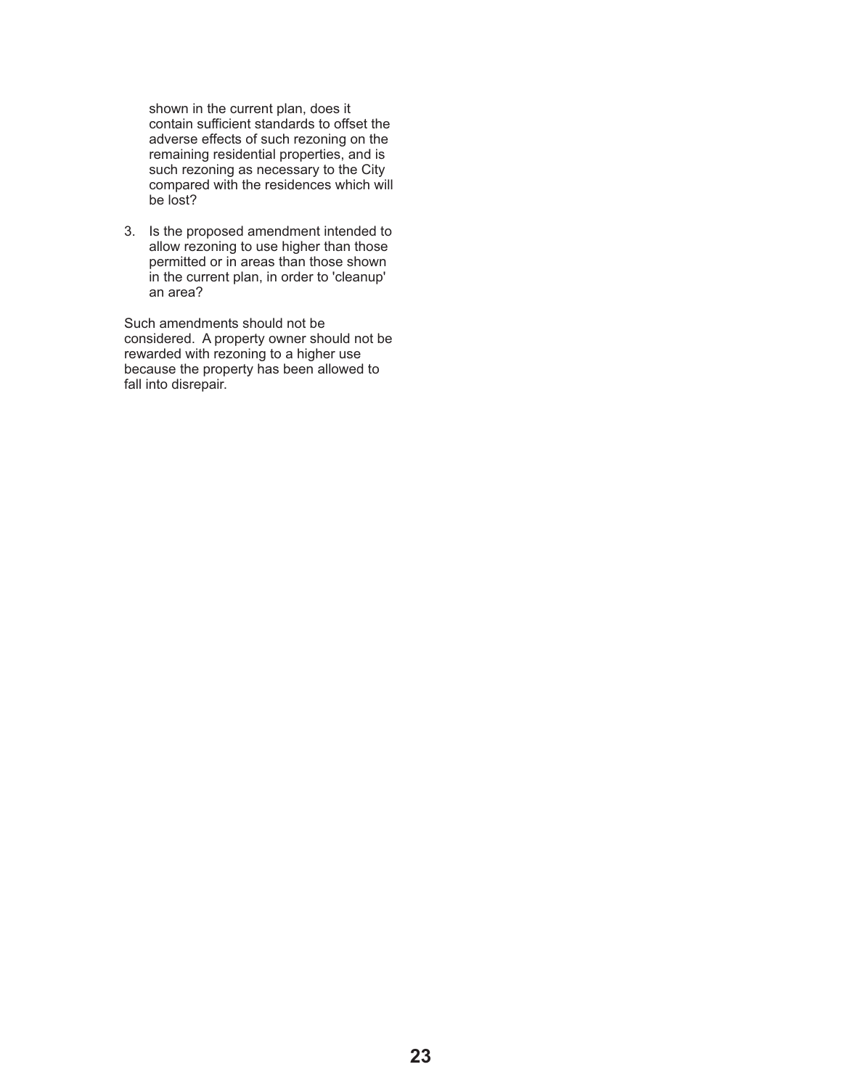shown in the current plan, does it contain sufficient standards to offset the adverse effects of such rezoning on the remaining residential properties, and is such rezoning as necessary to the City compared with the residences which will be lost?

3. Is the proposed amendment intended to allow rezoning to use higher than those permitted or in areas than those shown in the current plan, in order to 'cleanup' an area?

Such amendments should not be considered. A property owner should not be rewarded with rezoning to a higher use because the property has been allowed to fall into disrepair.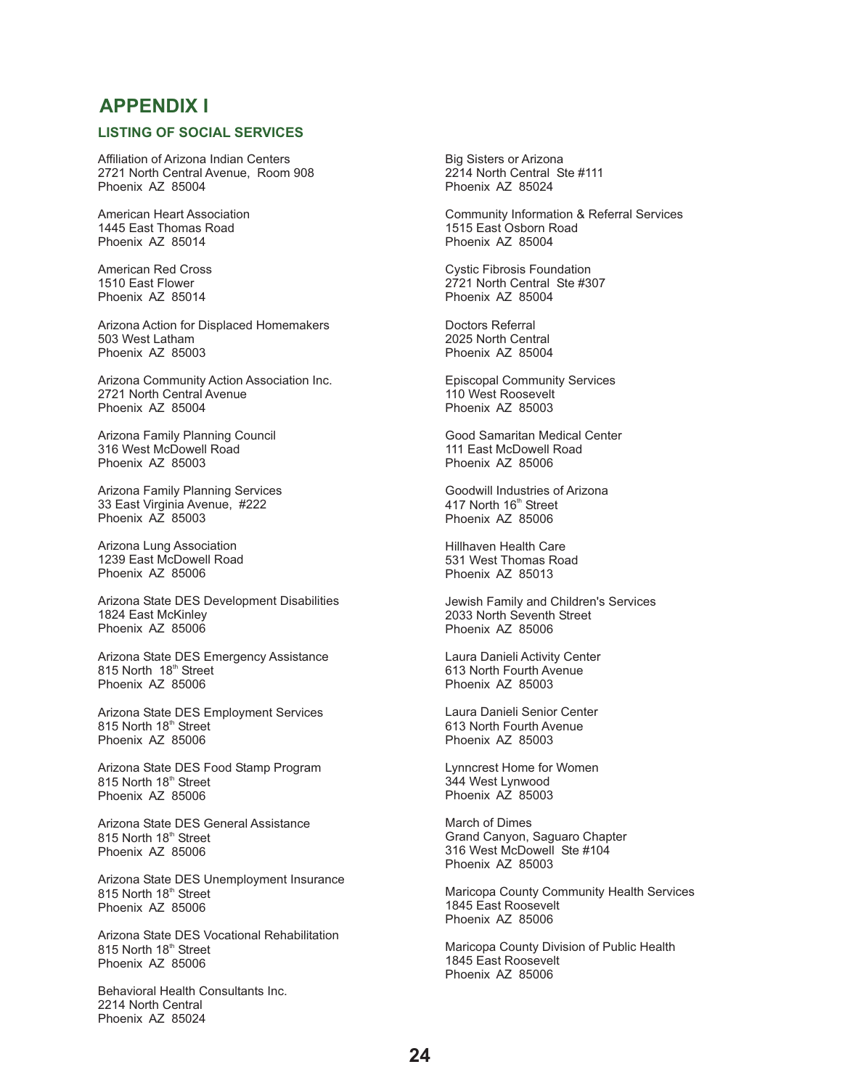## **APPENDIX I**

### **LISTING OF SOCIAL SERVICES**

Affiliation of Arizona Indian Centers 2721 North Central Avenue, Room 908 Phoenix AZ 85004

American Heart Association 1445 East Thomas Road Phoenix AZ 85014

American Red Cross 1510 East Flower Phoenix AZ 85014

Arizona Action for Displaced Homemakers 503 West Latham Phoenix AZ 85003

Arizona Community Action Association Inc. 2721 North Central Avenue Phoenix AZ 85004

Arizona Family Planning Council 316 West McDowell Road Phoenix AZ 85003

Arizona Family Planning Services 33 East Virginia Avenue, #222 Phoenix AZ 85003

Arizona Lung Association 1239 East McDowell Road Phoenix AZ 85006

Arizona State DES Development Disabilities 1824 East McKinley Phoenix AZ 85006

Arizona State DES Emergency Assistance 815 North 18<sup>th</sup> Street Phoenix AZ 85006

Arizona State DES Employment Services 815 North 18<sup>th</sup> Street Phoenix AZ 85006

Arizona State DES Food Stamp Program 815 North 18<sup>th</sup> Street Phoenix AZ 85006

Arizona State DES General Assistance 815 North 18<sup>th</sup> Street Phoenix AZ 85006

Arizona State DES Unemployment Insurance 815 North 18<sup>th</sup> Street Phoenix AZ 85006

Arizona State DES Vocational Rehabilitation 815 North 18<sup>th</sup> Street Phoenix AZ 85006

Behavioral Health Consultants Inc. 2214 North Central Phoenix AZ 85024

Big Sisters or Arizona 2214 North Central Ste #111 Phoenix AZ 85024

Community Information & Referral Services 1515 East Osborn Road Phoenix AZ 85004

Cystic Fibrosis Foundation 2721 North Central Ste #307 Phoenix AZ 85004

Doctors Referral 2025 North Central Phoenix AZ 85004

Episcopal Community Services 110 West Roosevelt Phoenix AZ 85003

Good Samaritan Medical Center 111 East McDowell Road Phoenix AZ 85006

Goodwill Industries of Arizona 417 North 16<sup>th</sup> Street Phoenix AZ 85006

Hillhaven Health Care 531 West Thomas Road Phoenix AZ 85013

Jewish Family and Children's Services 2033 North Seventh Street Phoenix AZ 85006

Laura Danieli Activity Center 613 North Fourth Avenue Phoenix AZ 85003

Laura Danieli Senior Center 613 North Fourth Avenue Phoenix AZ 85003

Lynncrest Home for Women 344 West Lynwood Phoenix AZ 85003

March of Dimes Grand Canyon, Saguaro Chapter 316 West McDowell Ste #104 Phoenix AZ 85003

Maricopa County Community Health Services 1845 East Roosevelt Phoenix AZ 85006

Maricopa County Division of Public Health 1845 East Roosevelt Phoenix AZ 85006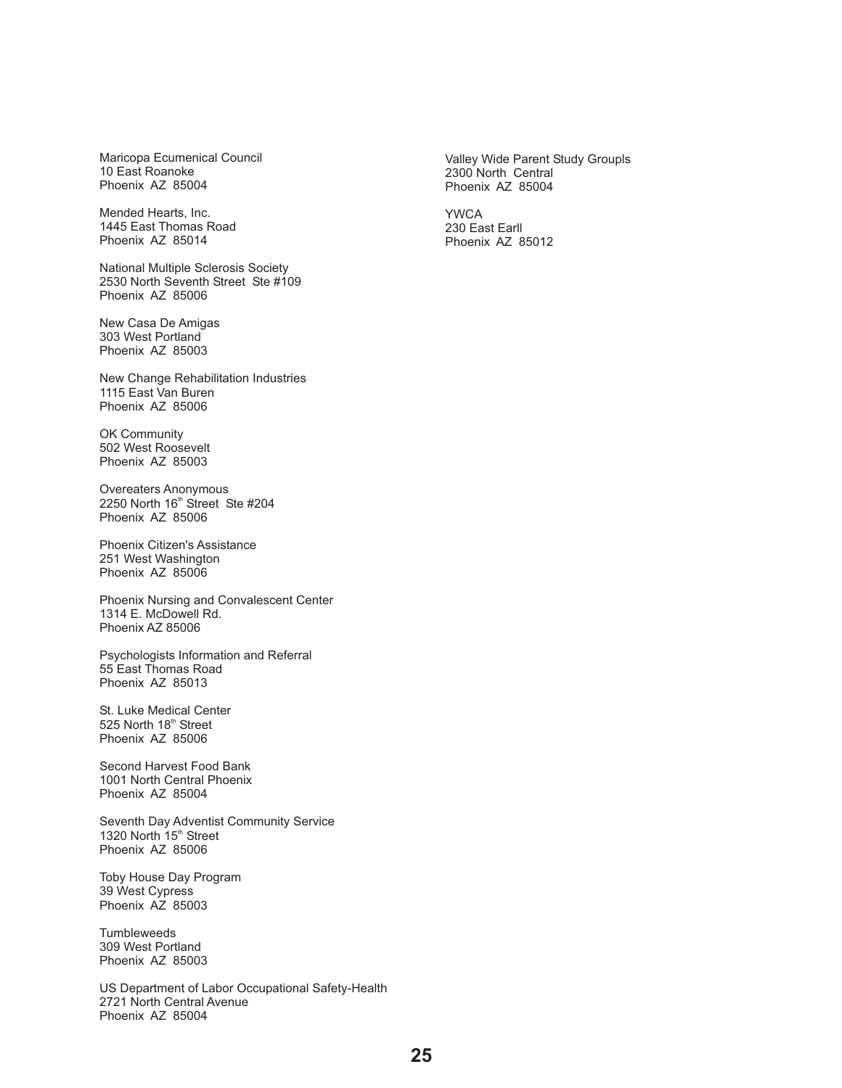Maricopa Ecumenical Council 10 East Roanoke Phoenix AZ 85004

Mended Hearts, Inc. 1445 East Thomas Road Phoenix AZ 85014

National Multiple Sclerosis Society 2530 North Seventh Street Ste #109 Phoenix AZ 85006

New Casa De Amigas 303 West Portland Phoenix AZ 85003

New Change Rehabilitation Industries 1115 East Van Buren Phoenix AZ 85006

OK Community 502 West Roosevelt Phoenix AZ 85003

Overeaters Anonymous 2250 North 16<sup>th</sup> Street Ste #204 Phoenix AZ 85006

Phoenix Citizen's Assistance 251 West Washington Phoenix AZ 85006

Phoenix Nursing and Convalescent Center 1314 E. McDowell Rd. Phoenix AZ 85006

Psychologists Information and Referral 55 East Thomas Road Phoenix AZ 85013

St. Luke Medical Center 525 North 18<sup>th</sup> Street Phoenix AZ 85006

Second Harvest Food Bank 1001 North Central Phoenix Phoenix AZ 85004

Seventh Day Adventist Community Service 1320 North 15<sup>th</sup> Street Phoenix AZ 85006

Toby House Day Program 39 West Cypress Phoenix AZ 85003

**Tumbleweeds** 309 West Portland Phoenix AZ 85003

US Department of Labor Occupational Safety-Health 2721 North Central Avenue Phoenix AZ 85004

Valley Wide Parent Study Groupls 2300 North Central Phoenix AZ 85004

YWCA 230 East Earll Phoenix AZ 85012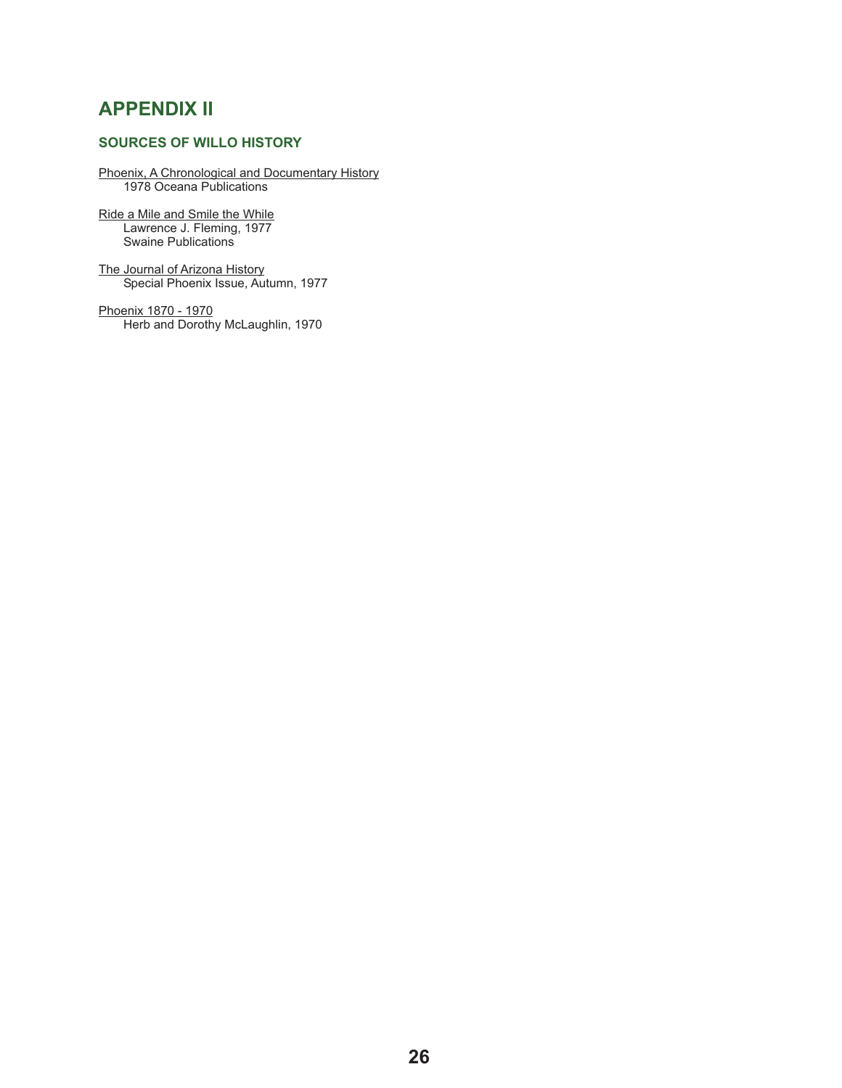## **APPENDIX II**

## **SOURCES OF WILLO HISTORY**

#### Phoenix, A Chronological and Documentary History 1978 Oceana Publications

Ride a Mile and Smile the While Lawrence J. Fleming, 1977 Swaine Publications

The Journal of Arizona History Special Phoenix Issue, Autumn, 1977

Phoenix 1870 - 1970 Herb and Dorothy McLaughlin, 1970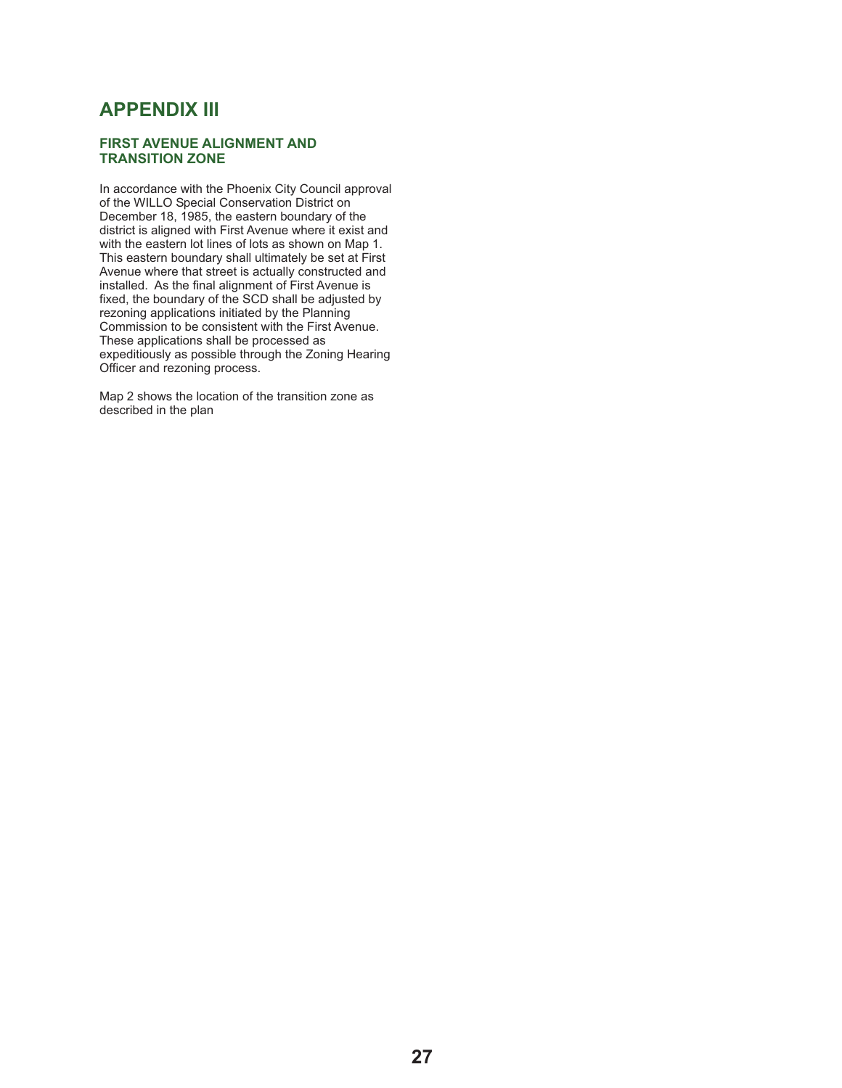## **APPENDIX III**

#### **FIRST AVENUE ALIGNMENT AND TRANSITION ZONE**

In accordance with the Phoenix City Council approval of the WILLO Special Conservation District on December 18, 1985, the eastern boundary of the district is aligned with First Avenue where it exist and with the eastern lot lines of lots as shown on Map 1. This eastern boundary shall ultimately be set at First Avenue where that street is actually constructed and installed. As the final alignment of First Avenue is fixed, the boundary of the SCD shall be adjusted by rezoning applications initiated by the Planning Commission to be consistent with the First Avenue. These applications shall be processed as expeditiously as possible through the Zoning Hearing Officer and rezoning process.

Map 2 shows the location of the transition zone as described in the plan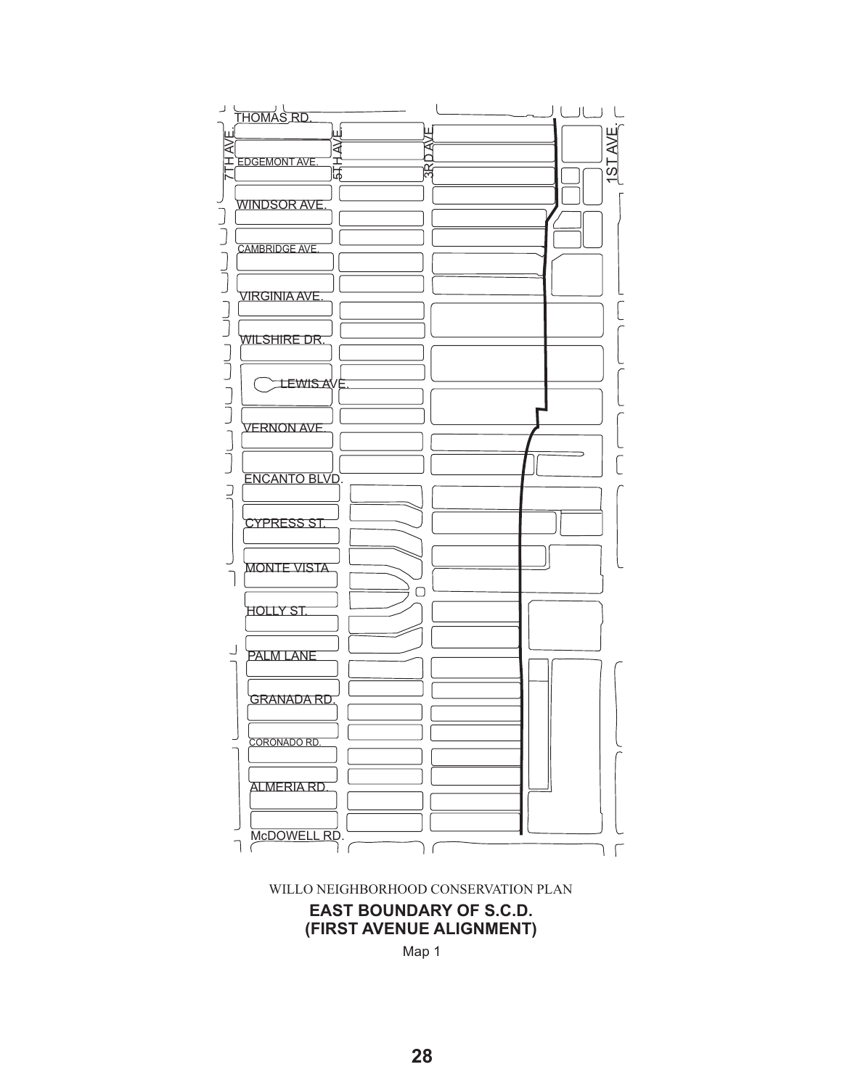



Map 1